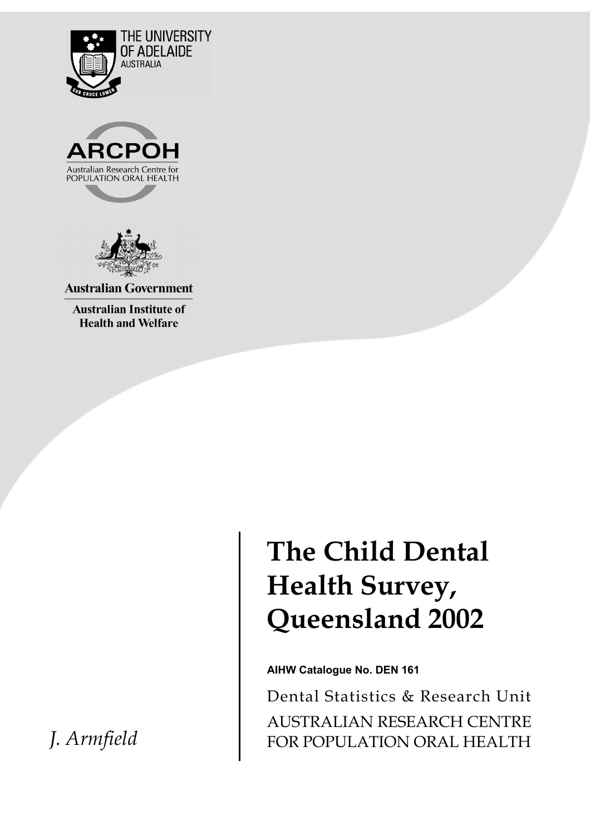





**Australian Government** 

**Australian Institute of Health and Welfare** 

 *J. Armfield* 

# **The Child Dental Health Survey, Queensland 2002**

**AIHW Catalogue No. DEN 161**

Dental Statistics & Research Unit AUSTRALIAN RESEARCH CENTRE FOR POPULATION ORAL HEALTH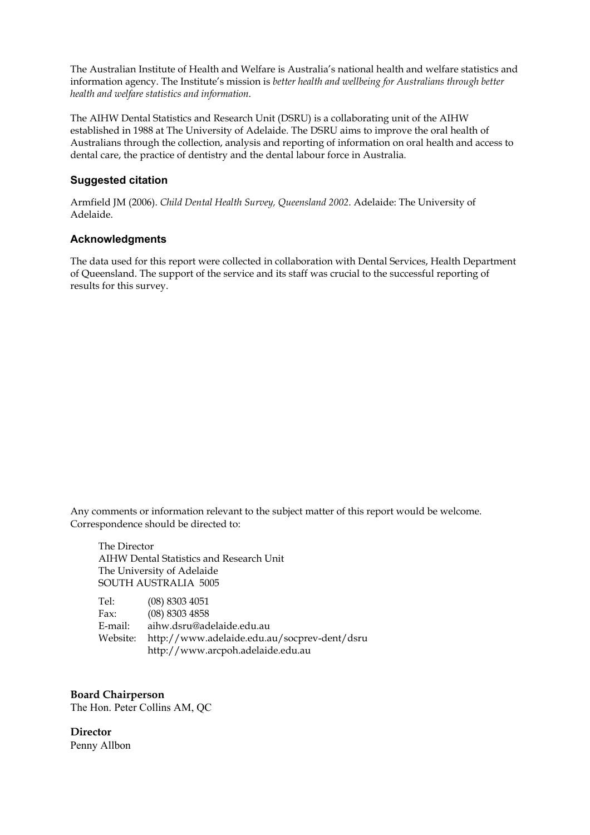The Australian Institute of Health and Welfare is Australia's national health and welfare statistics and information agency. The Institute's mission is *better health and wellbeing for Australians through better health and welfare statistics and information*.

The AIHW Dental Statistics and Research Unit (DSRU) is a collaborating unit of the AIHW established in 1988 at The University of Adelaide. The DSRU aims to improve the oral health of Australians through the collection, analysis and reporting of information on oral health and access to dental care, the practice of dentistry and the dental labour force in Australia.

#### **Suggested citation**

Armfield JM (2006). *Child Dental Health Survey, Queensland 2002*. Adelaide: The University of Adelaide.

#### **Acknowledgments**

The data used for this report were collected in collaboration with Dental Services, Health Department of Queensland. The support of the service and its staff was crucial to the successful reporting of results for this survey.

Any comments or information relevant to the subject matter of this report would be welcome. Correspondence should be directed to:

 The Director AIHW Dental Statistics and Research Unit The University of Adelaide SOUTH AUSTRALIA 5005

 Tel: (08) 8303 4051 Fax: (08) 8303 4858 E-mail: aihw.dsru@adelaide.edu.au Website: http://www.adelaide.edu.au/socprev-dent/dsru http://www.arcpoh.adelaide.edu.au

**Board Chairperson**  The Hon. Peter Collins AM, QC

**Director**  Penny Allbon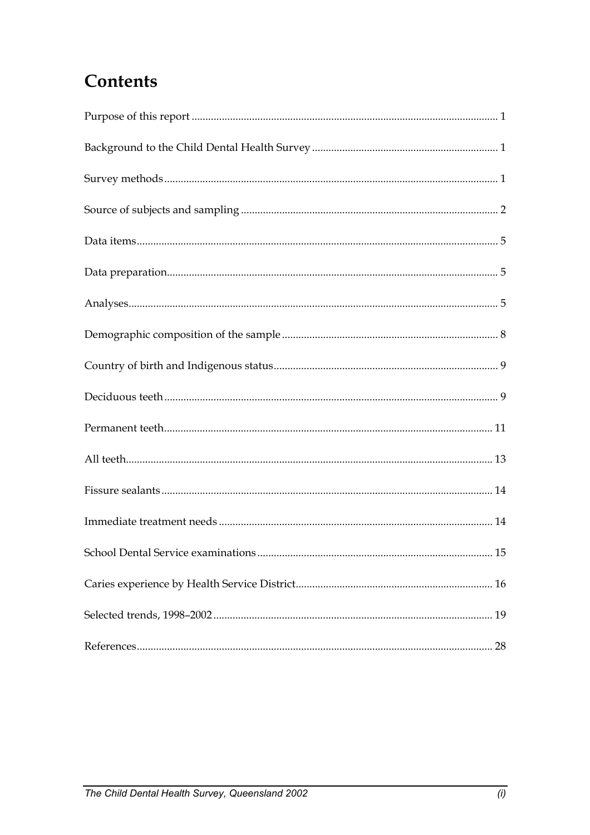## **Contents**

| 15 |
|----|
|    |
|    |
|    |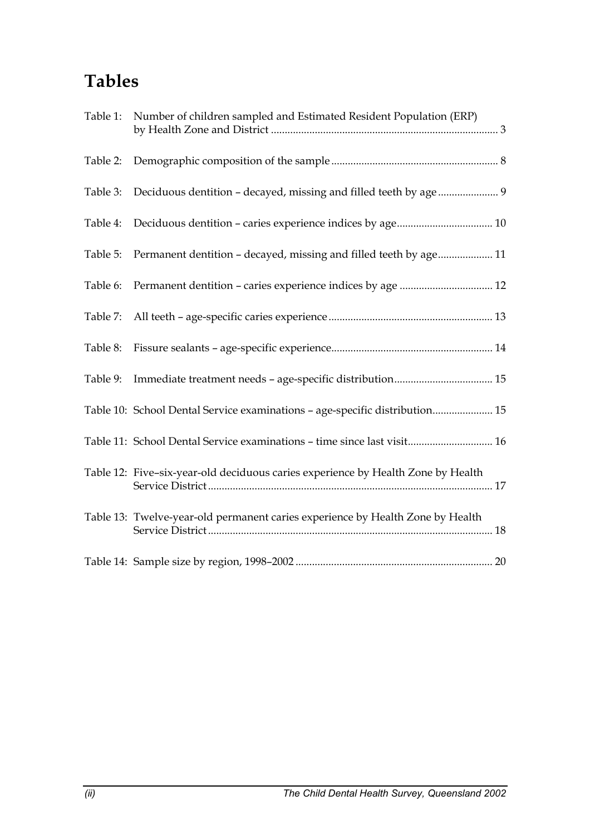## **Tables**

| Table 1: | Number of children sampled and Estimated Resident Population (ERP)               |
|----------|----------------------------------------------------------------------------------|
| Table 2: |                                                                                  |
| Table 3: |                                                                                  |
| Table 4: |                                                                                  |
| Table 5: | Permanent dentition - decayed, missing and filled teeth by age 11                |
| Table 6: |                                                                                  |
| Table 7: |                                                                                  |
| Table 8: |                                                                                  |
| Table 9: |                                                                                  |
|          | Table 10: School Dental Service examinations - age-specific distribution 15      |
|          | Table 11: School Dental Service examinations - time since last visit 16          |
|          | Table 12: Five-six-year-old deciduous caries experience by Health Zone by Health |
|          | Table 13: Twelve-year-old permanent caries experience by Health Zone by Health   |
|          |                                                                                  |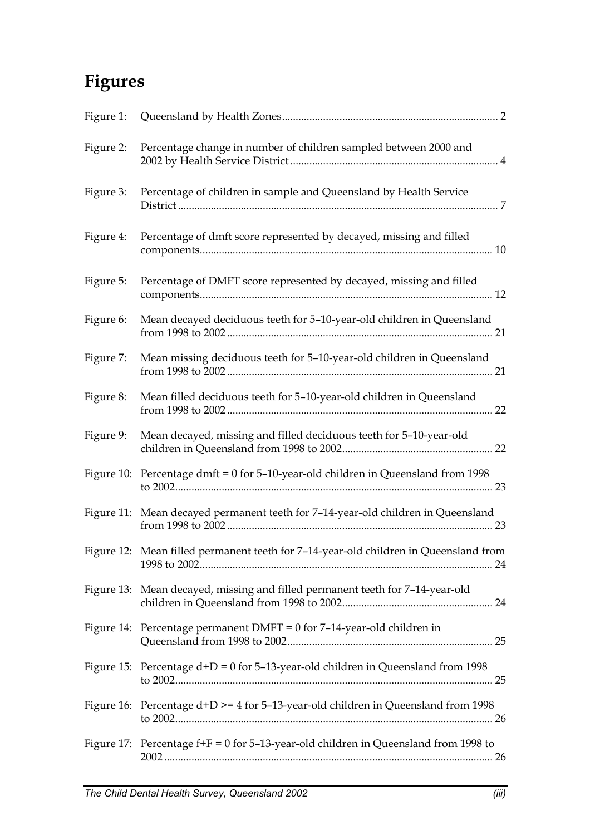## **Figures**

| Figure 1: |                                                                                         |
|-----------|-----------------------------------------------------------------------------------------|
| Figure 2: | Percentage change in number of children sampled between 2000 and                        |
| Figure 3: | Percentage of children in sample and Queensland by Health Service                       |
| Figure 4: | Percentage of dmft score represented by decayed, missing and filled                     |
| Figure 5: | Percentage of DMFT score represented by decayed, missing and filled                     |
| Figure 6: | Mean decayed deciduous teeth for 5-10-year-old children in Queensland                   |
| Figure 7: | Mean missing deciduous teeth for 5-10-year-old children in Queensland                   |
| Figure 8: | Mean filled deciduous teeth for 5-10-year-old children in Queensland                    |
| Figure 9: | Mean decayed, missing and filled deciduous teeth for 5-10-year-old                      |
|           | Figure 10: Percentage dmft = $0$ for 5-10-year-old children in Queensland from 1998     |
|           | Figure 11: Mean decayed permanent teeth for 7-14-year-old children in Queensland        |
|           | Figure 12: Mean filled permanent teeth for 7-14-year-old children in Queensland from    |
|           | Figure 13: Mean decayed, missing and filled permanent teeth for 7-14-year-old           |
|           | Figure 14: Percentage permanent DMFT = $0$ for 7-14-year-old children in                |
|           | Figure 15: Percentage $d+D = 0$ for 5-13-year-old children in Queensland from 1998      |
|           | Figure 16: Percentage $d+D \ge 4$ for 5-13-year-old children in Queensland from 1998    |
|           | Figure 17: Percentage $f + F = 0$ for 5-13-year-old children in Queensland from 1998 to |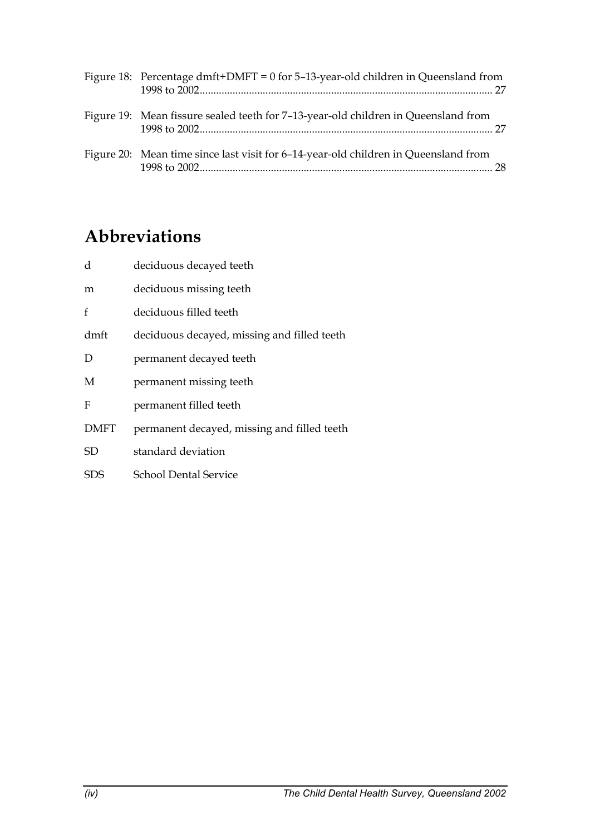| Figure 18: Percentage dmft+DMFT = $0$ for 5-13-year-old children in Queensland from |
|-------------------------------------------------------------------------------------|
| Figure 19: Mean fissure sealed teeth for 7-13-year-old children in Queensland from  |
| Figure 20: Mean time since last visit for 6-14-year-old children in Queensland from |

## **Abbreviations**

| d           | deciduous decayed teeth                     |
|-------------|---------------------------------------------|
| m           | deciduous missing teeth                     |
| f           | deciduous filled teeth                      |
| dmft        | deciduous decayed, missing and filled teeth |
| D           | permanent decayed teeth                     |
| M           | permanent missing teeth                     |
| F           | permanent filled teeth                      |
| <b>DMFT</b> | permanent decayed, missing and filled teeth |
| SD          | standard deviation                          |
| SDS         | <b>School Dental Service</b>                |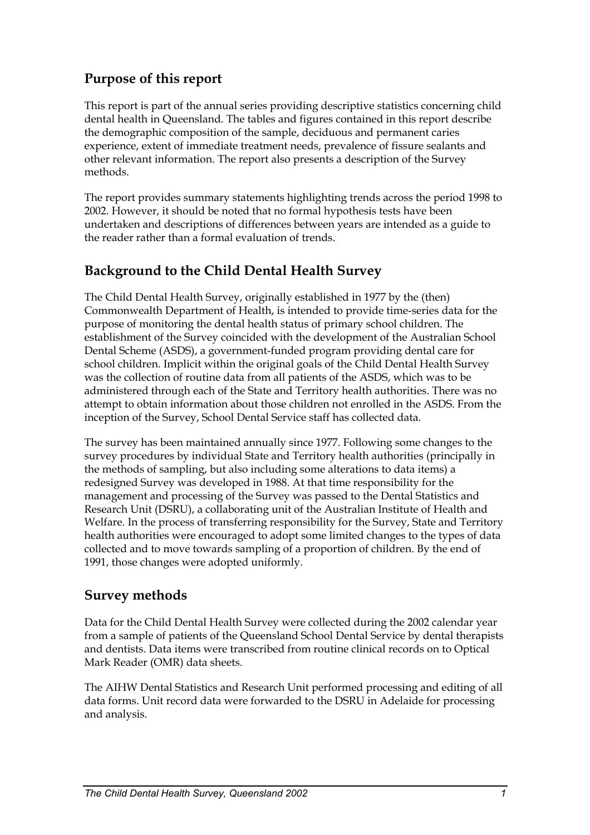## **Purpose of this report**

This report is part of the annual series providing descriptive statistics concerning child dental health in Queensland. The tables and figures contained in this report describe the demographic composition of the sample, deciduous and permanent caries experience, extent of immediate treatment needs, prevalence of fissure sealants and other relevant information. The report also presents a description of the Survey methods.

The report provides summary statements highlighting trends across the period 1998 to 2002. However, it should be noted that no formal hypothesis tests have been undertaken and descriptions of differences between years are intended as a guide to the reader rather than a formal evaluation of trends.

### **Background to the Child Dental Health Survey**

The Child Dental Health Survey, originally established in 1977 by the (then) Commonwealth Department of Health, is intended to provide time-series data for the purpose of monitoring the dental health status of primary school children. The establishment of the Survey coincided with the development of the Australian School Dental Scheme (ASDS), a government-funded program providing dental care for school children. Implicit within the original goals of the Child Dental Health Survey was the collection of routine data from all patients of the ASDS, which was to be administered through each of the State and Territory health authorities. There was no attempt to obtain information about those children not enrolled in the ASDS. From the inception of the Survey, School Dental Service staff has collected data.

The survey has been maintained annually since 1977. Following some changes to the survey procedures by individual State and Territory health authorities (principally in the methods of sampling, but also including some alterations to data items) a redesigned Survey was developed in 1988. At that time responsibility for the management and processing of the Survey was passed to the Dental Statistics and Research Unit (DSRU), a collaborating unit of the Australian Institute of Health and Welfare. In the process of transferring responsibility for the Survey, State and Territory health authorities were encouraged to adopt some limited changes to the types of data collected and to move towards sampling of a proportion of children. By the end of 1991, those changes were adopted uniformly.

#### **Survey methods**

Data for the Child Dental Health Survey were collected during the 2002 calendar year from a sample of patients of the Queensland School Dental Service by dental therapists and dentists. Data items were transcribed from routine clinical records on to Optical Mark Reader (OMR) data sheets.

The AIHW Dental Statistics and Research Unit performed processing and editing of all data forms. Unit record data were forwarded to the DSRU in Adelaide for processing and analysis.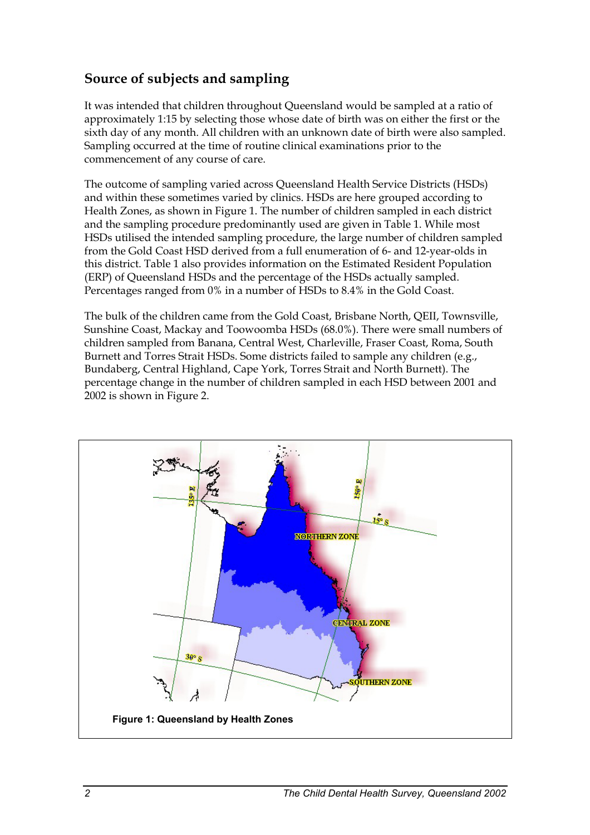## **Source of subjects and sampling**

It was intended that children throughout Queensland would be sampled at a ratio of approximately 1:15 by selecting those whose date of birth was on either the first or the sixth day of any month. All children with an unknown date of birth were also sampled. Sampling occurred at the time of routine clinical examinations prior to the commencement of any course of care.

The outcome of sampling varied across Queensland Health Service Districts (HSDs) and within these sometimes varied by clinics. HSDs are here grouped according to Health Zones, as shown in Figure 1. The number of children sampled in each district and the sampling procedure predominantly used are given in Table 1. While most HSDs utilised the intended sampling procedure, the large number of children sampled from the Gold Coast HSD derived from a full enumeration of 6- and 12-year-olds in this district. Table 1 also provides information on the Estimated Resident Population (ERP) of Queensland HSDs and the percentage of the HSDs actually sampled. Percentages ranged from 0% in a number of HSDs to 8.4% in the Gold Coast.

The bulk of the children came from the Gold Coast, Brisbane North, QEII, Townsville, Sunshine Coast, Mackay and Toowoomba HSDs (68.0%). There were small numbers of children sampled from Banana, Central West, Charleville, Fraser Coast, Roma, South Burnett and Torres Strait HSDs. Some districts failed to sample any children (e.g., Bundaberg, Central Highland, Cape York, Torres Strait and North Burnett). The percentage change in the number of children sampled in each HSD between 2001 and 2002 is shown in Figure 2.

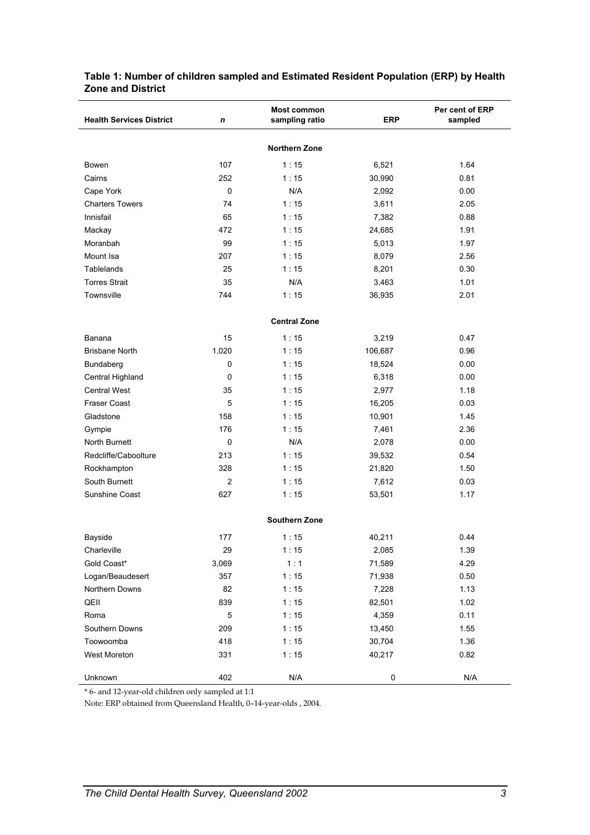| <b>Health Services District</b> | n              | <b>Most common</b><br>sampling ratio | <b>ERP</b> | Per cent of ERP<br>sampled |  |  |  |  |  |
|---------------------------------|----------------|--------------------------------------|------------|----------------------------|--|--|--|--|--|
| <b>Northern Zone</b>            |                |                                      |            |                            |  |  |  |  |  |
| Bowen                           | 107            | 1:15                                 | 6,521      | 1.64                       |  |  |  |  |  |
| Cairns                          | 252            | 1:15                                 | 30,990     | 0.81                       |  |  |  |  |  |
| Cape York                       | 0              | N/A                                  | 2,092      | 0.00                       |  |  |  |  |  |
| <b>Charters Towers</b>          | 74             | 1:15                                 | 3,611      | 2.05                       |  |  |  |  |  |
| Innisfail                       | 65             | 1:15                                 | 7,382      | 0.88                       |  |  |  |  |  |
| Mackay                          | 472            | 1:15                                 | 24,685     | 1.91                       |  |  |  |  |  |
| Moranbah                        | 99             | 1:15                                 | 5,013      | 1.97                       |  |  |  |  |  |
| Mount Isa                       | 207            | 1:15                                 | 8,079      | 2.56                       |  |  |  |  |  |
| Tablelands                      | 25             | 1:15                                 | 8,201      | 0.30                       |  |  |  |  |  |
| <b>Torres Strait</b>            | 35             | N/A                                  | 3,463      | 1.01                       |  |  |  |  |  |
| Townsville                      | 744            | 1:15                                 | 36,935     | 2.01                       |  |  |  |  |  |
|                                 |                | <b>Central Zone</b>                  |            |                            |  |  |  |  |  |
| Banana                          | 15             | 1:15                                 | 3,219      | 0.47                       |  |  |  |  |  |
| <b>Brisbane North</b>           | 1,020          | 1:15                                 | 106,687    | 0.96                       |  |  |  |  |  |
| Bundaberg                       | 0              | 1:15                                 | 18,524     | 0.00                       |  |  |  |  |  |
| Central Highland                | 0              | 1:15                                 | 6,318      | 0.00                       |  |  |  |  |  |
| <b>Central West</b>             | 35             | 1:15                                 | 2,977      | 1.18                       |  |  |  |  |  |
| <b>Fraser Coast</b>             | 5              | 1:15                                 | 16,205     | 0.03                       |  |  |  |  |  |
| Gladstone                       | 158            | 1:15                                 | 10,901     | 1.45                       |  |  |  |  |  |
| Gympie                          | 176            | 1:15                                 | 7,461      | 2.36                       |  |  |  |  |  |
| North Burnett                   | 0              | N/A                                  | 2,078      | 0.00                       |  |  |  |  |  |
| Redcliffe/Caboolture            | 213            | 1:15                                 | 39,532     | 0.54                       |  |  |  |  |  |
| Rockhampton                     | 328            | 1:15                                 | 21,820     | 1.50                       |  |  |  |  |  |
| South Burnett                   | $\overline{2}$ | 1:15                                 | 7,612      | 0.03                       |  |  |  |  |  |
| Sunshine Coast                  | 627            | 1:15                                 | 53,501     | 1.17                       |  |  |  |  |  |
|                                 |                | <b>Southern Zone</b>                 |            |                            |  |  |  |  |  |
| Bayside                         | 177            | 1:15                                 | 40,211     | 0.44                       |  |  |  |  |  |
| Charleville                     | 29             | 1:15                                 | 2,085      | 1.39                       |  |  |  |  |  |
| Gold Coast*                     | 3,069          | 1:1                                  | 71,589     | 4.29                       |  |  |  |  |  |
| Logan/Beaudesert                | 357            | 1:15                                 | 71,938     | 0.50                       |  |  |  |  |  |
| Northern Downs                  | 82             | 1:15                                 | 7,228      | 1.13                       |  |  |  |  |  |
| QEII                            | 839            | 1:15                                 | 82,501     | 1.02                       |  |  |  |  |  |
| Roma                            | 5              | 1:15                                 | 4,359      | 0.11                       |  |  |  |  |  |
| Southern Downs                  | 209            | 1:15                                 | 13,450     | 1.55                       |  |  |  |  |  |
| Toowoomba                       | 418            | 1:15                                 | 30,704     | 1.36                       |  |  |  |  |  |
| West Moreton                    | 331            | 1:15                                 | 40,217     | 0.82                       |  |  |  |  |  |
| Unknown                         | 402            | N/A                                  | $\pmb{0}$  | N/A                        |  |  |  |  |  |

#### **Table 1: Number of children sampled and Estimated Resident Population (ERP) by Health Zone and District**

\* 6- and 12-year-old children only sampled at 1:1

Note: ERP obtained from Queensland Health, 0–14-year-olds , 2004.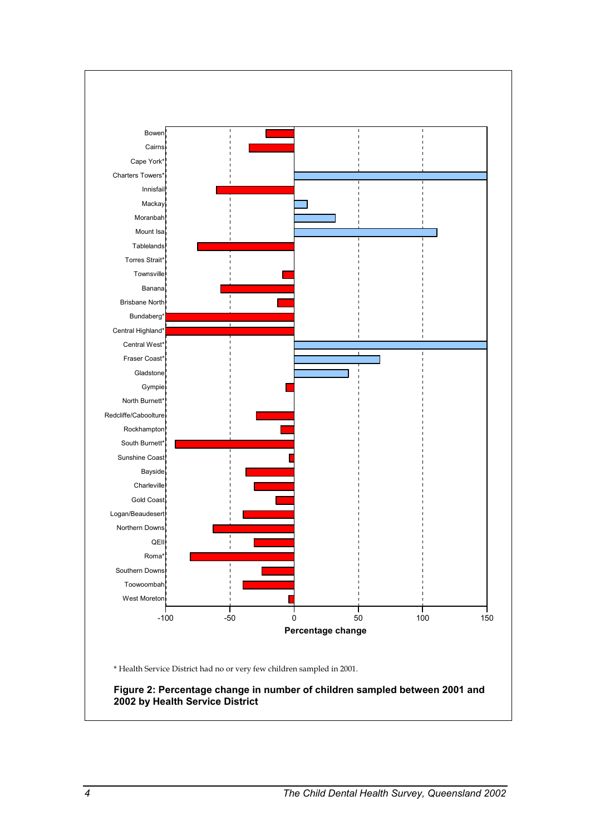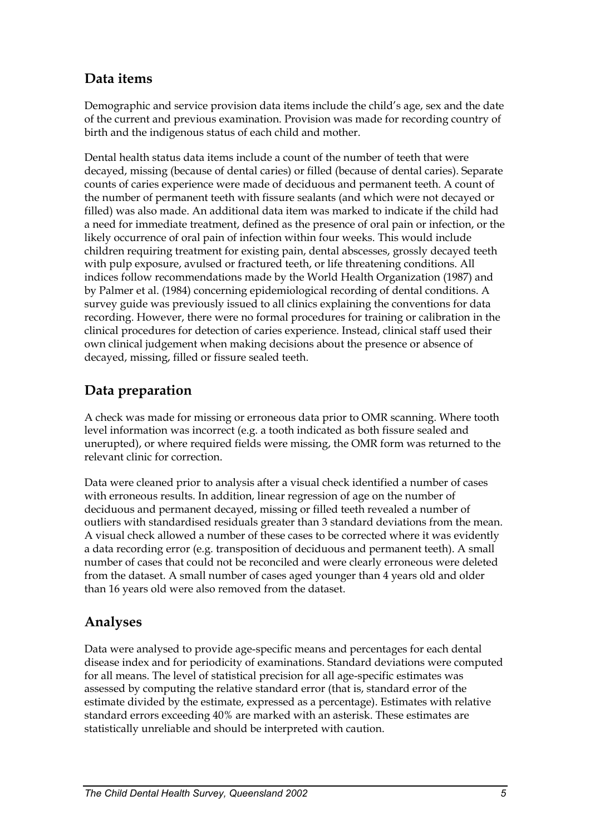## **Data items**

Demographic and service provision data items include the child's age, sex and the date of the current and previous examination. Provision was made for recording country of birth and the indigenous status of each child and mother.

Dental health status data items include a count of the number of teeth that were decayed, missing (because of dental caries) or filled (because of dental caries). Separate counts of caries experience were made of deciduous and permanent teeth. A count of the number of permanent teeth with fissure sealants (and which were not decayed or filled) was also made. An additional data item was marked to indicate if the child had a need for immediate treatment, defined as the presence of oral pain or infection, or the likely occurrence of oral pain of infection within four weeks. This would include children requiring treatment for existing pain, dental abscesses, grossly decayed teeth with pulp exposure, avulsed or fractured teeth, or life threatening conditions. All indices follow recommendations made by the World Health Organization (1987) and by Palmer et al. (1984) concerning epidemiological recording of dental conditions. A survey guide was previously issued to all clinics explaining the conventions for data recording. However, there were no formal procedures for training or calibration in the clinical procedures for detection of caries experience. Instead, clinical staff used their own clinical judgement when making decisions about the presence or absence of decayed, missing, filled or fissure sealed teeth.

## **Data preparation**

A check was made for missing or erroneous data prior to OMR scanning. Where tooth level information was incorrect (e.g. a tooth indicated as both fissure sealed and unerupted), or where required fields were missing, the OMR form was returned to the relevant clinic for correction.

Data were cleaned prior to analysis after a visual check identified a number of cases with erroneous results. In addition, linear regression of age on the number of deciduous and permanent decayed, missing or filled teeth revealed a number of outliers with standardised residuals greater than 3 standard deviations from the mean. A visual check allowed a number of these cases to be corrected where it was evidently a data recording error (e.g. transposition of deciduous and permanent teeth). A small number of cases that could not be reconciled and were clearly erroneous were deleted from the dataset. A small number of cases aged younger than 4 years old and older than 16 years old were also removed from the dataset.

## **Analyses**

Data were analysed to provide age-specific means and percentages for each dental disease index and for periodicity of examinations. Standard deviations were computed for all means. The level of statistical precision for all age-specific estimates was assessed by computing the relative standard error (that is, standard error of the estimate divided by the estimate, expressed as a percentage). Estimates with relative standard errors exceeding 40% are marked with an asterisk. These estimates are statistically unreliable and should be interpreted with caution.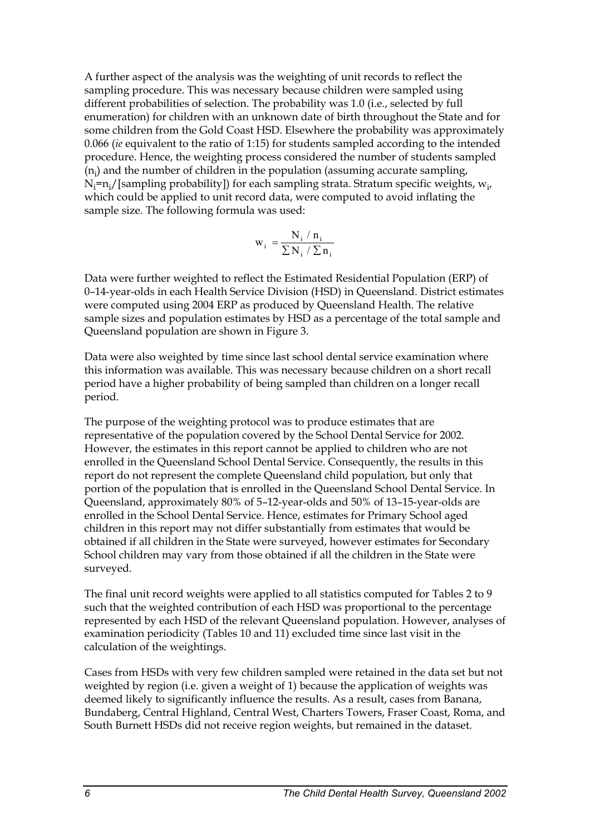A further aspect of the analysis was the weighting of unit records to reflect the sampling procedure. This was necessary because children were sampled using different probabilities of selection. The probability was 1.0 (i.e., selected by full enumeration) for children with an unknown date of birth throughout the State and for some children from the Gold Coast HSD. Elsewhere the probability was approximately 0.066 (*ie* equivalent to the ratio of 1:15) for students sampled according to the intended procedure. Hence, the weighting process considered the number of students sampled  $(n<sub>i</sub>)$  and the number of children in the population (assuming accurate sampling, N<sub>i</sub>=n<sub>i</sub>/[sampling probability]) for each sampling strata. Stratum specific weights,  $w_{i'}$ which could be applied to unit record data, were computed to avoid inflating the sample size. The following formula was used:

$$
\mathbf{w}_{i} = \frac{\mathbf{N}_{i} / \mathbf{n}_{i}}{\sum \mathbf{N}_{i} / \sum \mathbf{n}_{i}}
$$

Data were further weighted to reflect the Estimated Residential Population (ERP) of 0–14-year-olds in each Health Service Division (HSD) in Queensland. District estimates were computed using 2004 ERP as produced by Queensland Health. The relative sample sizes and population estimates by HSD as a percentage of the total sample and Queensland population are shown in Figure 3.

Data were also weighted by time since last school dental service examination where this information was available. This was necessary because children on a short recall period have a higher probability of being sampled than children on a longer recall period.

The purpose of the weighting protocol was to produce estimates that are representative of the population covered by the School Dental Service for 2002. However, the estimates in this report cannot be applied to children who are not enrolled in the Queensland School Dental Service. Consequently, the results in this report do not represent the complete Queensland child population, but only that portion of the population that is enrolled in the Queensland School Dental Service. In Queensland, approximately 80% of 5–12-year-olds and 50% of 13–15-year-olds are enrolled in the School Dental Service. Hence, estimates for Primary School aged children in this report may not differ substantially from estimates that would be obtained if all children in the State were surveyed, however estimates for Secondary School children may vary from those obtained if all the children in the State were surveyed.

The final unit record weights were applied to all statistics computed for Tables 2 to 9 such that the weighted contribution of each HSD was proportional to the percentage represented by each HSD of the relevant Queensland population. However, analyses of examination periodicity (Tables 10 and 11) excluded time since last visit in the calculation of the weightings.

Cases from HSDs with very few children sampled were retained in the data set but not weighted by region (i.e. given a weight of 1) because the application of weights was deemed likely to significantly influence the results. As a result, cases from Banana, Bundaberg, Central Highland, Central West, Charters Towers, Fraser Coast, Roma, and South Burnett HSDs did not receive region weights, but remained in the dataset.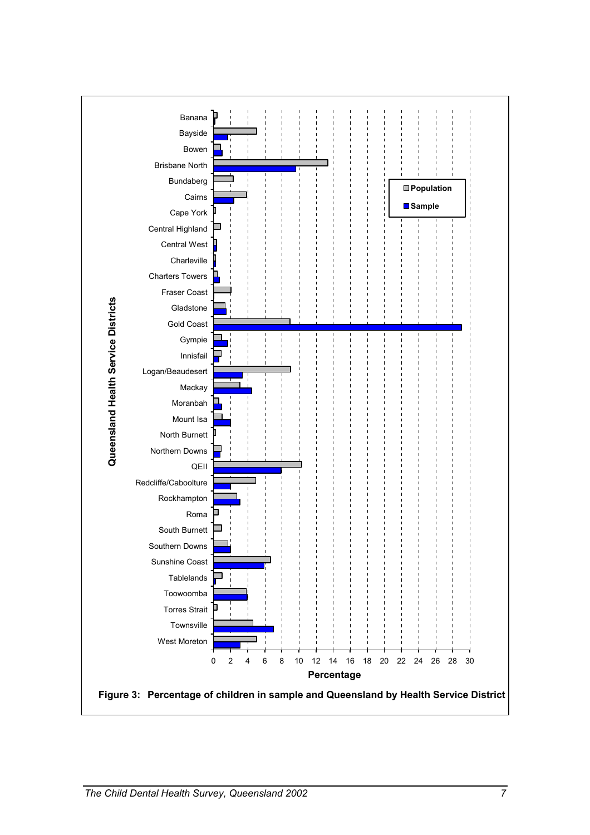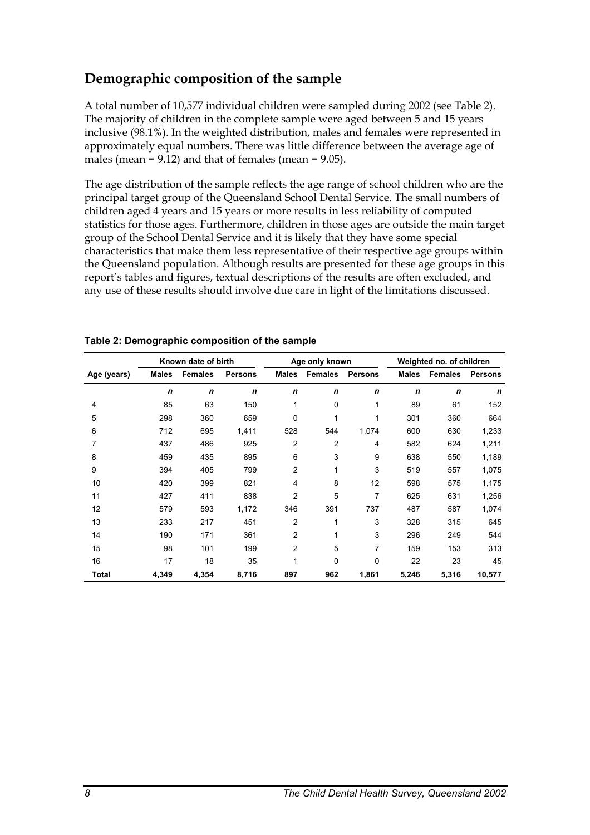#### **Demographic composition of the sample**

A total number of 10,577 individual children were sampled during 2002 (see Table 2). The majority of children in the complete sample were aged between 5 and 15 years inclusive (98.1%). In the weighted distribution, males and females were represented in approximately equal numbers. There was little difference between the average age of males (mean =  $9.12$ ) and that of females (mean =  $9.05$ ).

The age distribution of the sample reflects the age range of school children who are the principal target group of the Queensland School Dental Service. The small numbers of children aged 4 years and 15 years or more results in less reliability of computed statistics for those ages. Furthermore, children in those ages are outside the main target group of the School Dental Service and it is likely that they have some special characteristics that make them less representative of their respective age groups within the Queensland population. Although results are presented for these age groups in this report's tables and figures, textual descriptions of the results are often excluded, and any use of these results should involve due care in light of the limitations discussed.

|             |              | Known date of birth |                |                | Age only known |                | Weighted no. of children |                |         |
|-------------|--------------|---------------------|----------------|----------------|----------------|----------------|--------------------------|----------------|---------|
| Age (years) | <b>Males</b> | <b>Females</b>      | <b>Persons</b> | <b>Males</b>   | <b>Females</b> | <b>Persons</b> | <b>Males</b>             | <b>Females</b> | Persons |
|             | $\mathbf n$  | $\mathbf n$         | $\mathbf n$    | $\mathbf n$    | $\mathbf n$    | $\mathbf n$    | $\mathbf n$              | $\mathbf n$    | n       |
| 4           | 85           | 63                  | 150            | 1              | $\mathbf 0$    | 1              | 89                       | 61             | 152     |
| 5           | 298          | 360                 | 659            | 0              | 1              | 1              | 301                      | 360            | 664     |
| 6           | 712          | 695                 | 1,411          | 528            | 544            | 1,074          | 600                      | 630            | 1,233   |
| 7           | 437          | 486                 | 925            | 2              | $\overline{2}$ | 4              | 582                      | 624            | 1,211   |
| 8           | 459          | 435                 | 895            | 6              | 3              | 9              | 638                      | 550            | 1,189   |
| 9           | 394          | 405                 | 799            | $\overline{c}$ | 1              | 3              | 519                      | 557            | 1,075   |
| 10          | 420          | 399                 | 821            | 4              | 8              | 12             | 598                      | 575            | 1,175   |
| 11          | 427          | 411                 | 838            | 2              | 5              | 7              | 625                      | 631            | 1,256   |
| 12          | 579          | 593                 | 1,172          | 346            | 391            | 737            | 487                      | 587            | 1,074   |
| 13          | 233          | 217                 | 451            | 2              | 1              | 3              | 328                      | 315            | 645     |
| 14          | 190          | 171                 | 361            | $\overline{c}$ | 1              | 3              | 296                      | 249            | 544     |
| 15          | 98           | 101                 | 199            | 2              | 5              | 7              | 159                      | 153            | 313     |
| 16          | 17           | 18                  | 35             | 1              | $\Omega$       | 0              | 22                       | 23             | 45      |
| Total       | 4,349        | 4,354               | 8,716          | 897            | 962            | 1,861          | 5,246                    | 5,316          | 10,577  |

#### **Table 2: Demographic composition of the sample**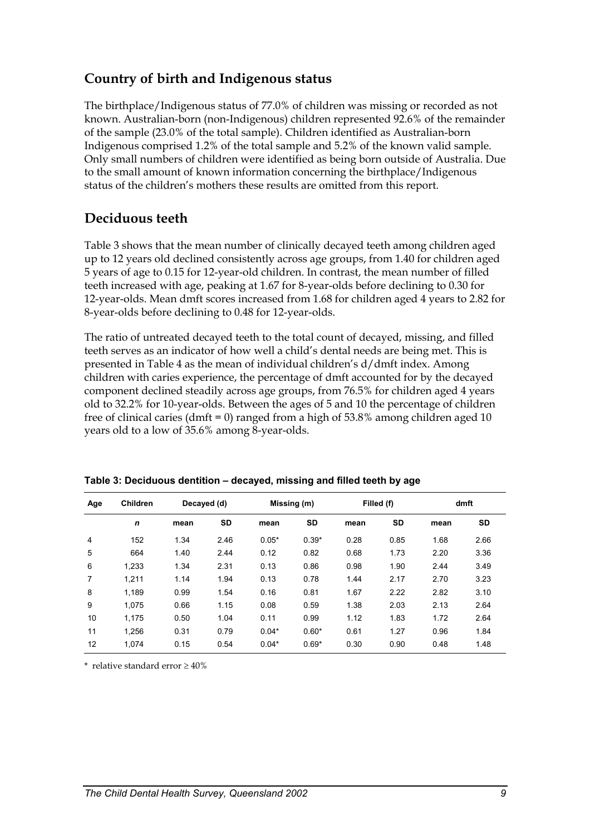#### **Country of birth and Indigenous status**

The birthplace/Indigenous status of 77.0% of children was missing or recorded as not known. Australian-born (non-Indigenous) children represented 92.6% of the remainder of the sample (23.0% of the total sample). Children identified as Australian-born Indigenous comprised 1.2% of the total sample and 5.2% of the known valid sample. Only small numbers of children were identified as being born outside of Australia. Due to the small amount of known information concerning the birthplace/Indigenous status of the children's mothers these results are omitted from this report.

#### **Deciduous teeth**

Table 3 shows that the mean number of clinically decayed teeth among children aged up to 12 years old declined consistently across age groups, from 1.40 for children aged 5 years of age to 0.15 for 12-year-old children. In contrast, the mean number of filled teeth increased with age, peaking at 1.67 for 8-year-olds before declining to 0.30 for 12-year-olds. Mean dmft scores increased from 1.68 for children aged 4 years to 2.82 for 8-year-olds before declining to 0.48 for 12-year-olds.

The ratio of untreated decayed teeth to the total count of decayed, missing, and filled teeth serves as an indicator of how well a child's dental needs are being met. This is presented in Table 4 as the mean of individual children's d/dmft index. Among children with caries experience, the percentage of dmft accounted for by the decayed component declined steadily across age groups, from 76.5% for children aged 4 years old to 32.2% for 10-year-olds. Between the ages of 5 and 10 the percentage of children free of clinical caries (dmft = 0) ranged from a high of 53.8% among children aged 10 years old to a low of 35.6% among 8-year-olds.

| Age | <b>Children</b> | Decayed (d) |      | Missing (m) |           | Filled (f) |      | dmft |      |
|-----|-----------------|-------------|------|-------------|-----------|------------|------|------|------|
|     | $\mathbf n$     | mean        | SD   | mean        | <b>SD</b> | mean       | SD   | mean | SD   |
| 4   | 152             | 1.34        | 2.46 | $0.05*$     | $0.39*$   | 0.28       | 0.85 | 1.68 | 2.66 |
| 5   | 664             | 1.40        | 2.44 | 0.12        | 0.82      | 0.68       | 1.73 | 2.20 | 3.36 |
| 6   | 1.233           | 1.34        | 2.31 | 0.13        | 0.86      | 0.98       | 1.90 | 2.44 | 3.49 |
| 7   | 1.211           | 1.14        | 1.94 | 0.13        | 0.78      | 1.44       | 2.17 | 2.70 | 3.23 |
| 8   | 1,189           | 0.99        | 1.54 | 0.16        | 0.81      | 1.67       | 2.22 | 2.82 | 3.10 |
| 9   | 1.075           | 0.66        | 1.15 | 0.08        | 0.59      | 1.38       | 2.03 | 2.13 | 2.64 |
| 10  | 1.175           | 0.50        | 1.04 | 0.11        | 0.99      | 1.12       | 1.83 | 1.72 | 2.64 |
| 11  | 1.256           | 0.31        | 0.79 | $0.04*$     | $0.60*$   | 0.61       | 1.27 | 0.96 | 1.84 |
| 12  | 1,074           | 0.15        | 0.54 | $0.04*$     | $0.69*$   | 0.30       | 0.90 | 0.48 | 1.48 |

**Table 3: Deciduous dentition – decayed, missing and filled teeth by age** 

\* relative standard error ≥ 40%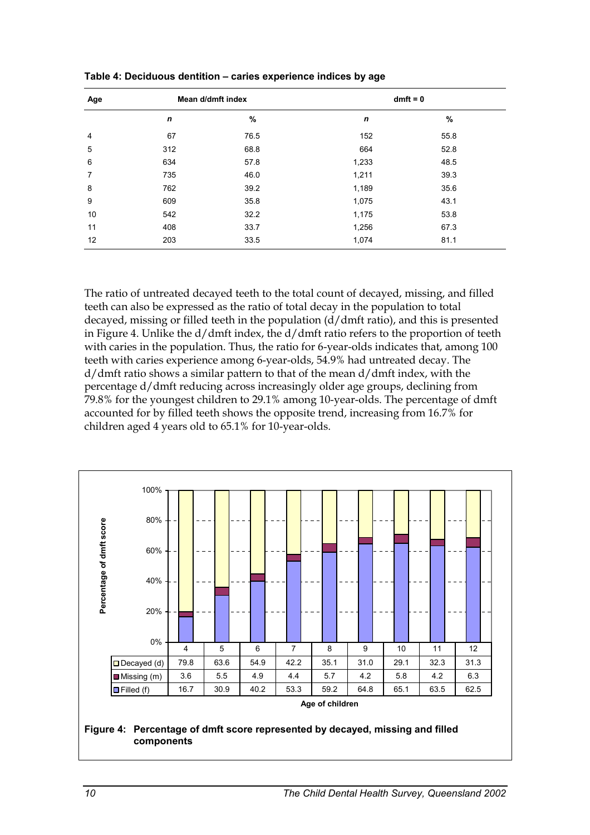| Age |             | Mean d/dmft index | $dmft = 0$ |      |  |  |
|-----|-------------|-------------------|------------|------|--|--|
|     | $\mathbf n$ | %                 | n          | %    |  |  |
| 4   | 67          | 76.5              | 152        | 55.8 |  |  |
| 5   | 312         | 68.8              | 664        | 52.8 |  |  |
| 6   | 634         | 57.8              | 1,233      | 48.5 |  |  |
| 7   | 735         | 46.0              | 1,211      | 39.3 |  |  |
| 8   | 762         | 39.2              | 1,189      | 35.6 |  |  |
| 9   | 609         | 35.8              | 1,075      | 43.1 |  |  |
| 10  | 542         | 32.2              | 1,175      | 53.8 |  |  |
| 11  | 408         | 33.7              | 1,256      | 67.3 |  |  |
| 12  | 203         | 33.5              | 1,074      | 81.1 |  |  |

**Table 4: Deciduous dentition – caries experience indices by age** 

The ratio of untreated decayed teeth to the total count of decayed, missing, and filled teeth can also be expressed as the ratio of total decay in the population to total decayed, missing or filled teeth in the population (d/dmft ratio), and this is presented in Figure 4. Unlike the d/dmft index, the d/dmft ratio refers to the proportion of teeth with caries in the population. Thus, the ratio for 6-year-olds indicates that, among 100 teeth with caries experience among 6-year-olds, 54.9% had untreated decay. The d/dmft ratio shows a similar pattern to that of the mean d/dmft index, with the percentage d/dmft reducing across increasingly older age groups, declining from 79.8% for the youngest children to 29.1% among 10-year-olds. The percentage of dmft accounted for by filled teeth shows the opposite trend, increasing from 16.7% for children aged 4 years old to 65.1% for 10-year-olds.



#### **Figure 4: Percentage of dmft score represented by decayed, missing and filled components**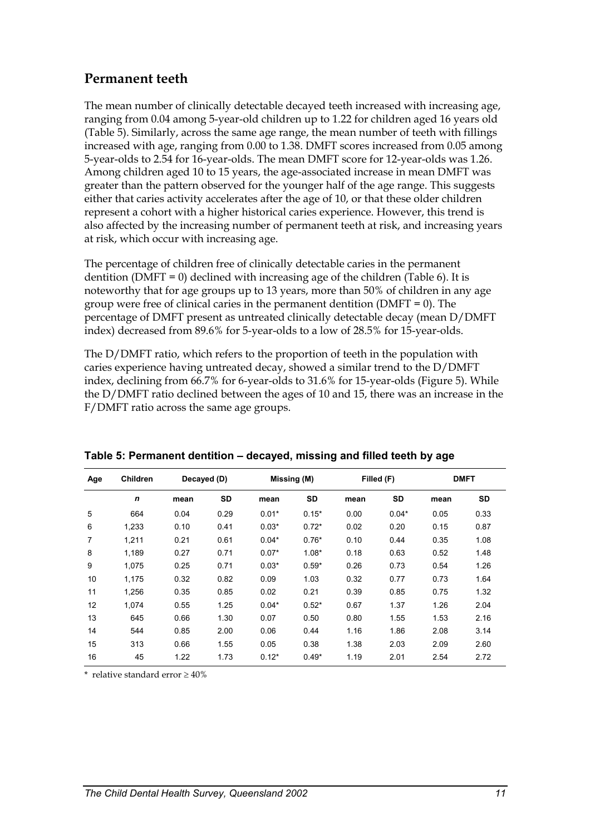#### **Permanent teeth**

The mean number of clinically detectable decayed teeth increased with increasing age, ranging from 0.04 among 5-year-old children up to 1.22 for children aged 16 years old (Table 5). Similarly, across the same age range, the mean number of teeth with fillings increased with age, ranging from 0.00 to 1.38. DMFT scores increased from 0.05 among 5-year-olds to 2.54 for 16-year-olds. The mean DMFT score for 12-year-olds was 1.26. Among children aged 10 to 15 years, the age-associated increase in mean DMFT was greater than the pattern observed for the younger half of the age range. This suggests either that caries activity accelerates after the age of 10, or that these older children represent a cohort with a higher historical caries experience. However, this trend is also affected by the increasing number of permanent teeth at risk, and increasing years at risk, which occur with increasing age.

The percentage of children free of clinically detectable caries in the permanent dentition (DMFT = 0) declined with increasing age of the children (Table 6). It is noteworthy that for age groups up to 13 years, more than 50% of children in any age group were free of clinical caries in the permanent dentition ( $DMFT = 0$ ). The percentage of DMFT present as untreated clinically detectable decay (mean D/DMFT index) decreased from 89.6% for 5-year-olds to a low of 28.5% for 15-year-olds.

The D/DMFT ratio, which refers to the proportion of teeth in the population with caries experience having untreated decay, showed a similar trend to the D/DMFT index, declining from 66.7% for 6-year-olds to 31.6% for 15-year-olds (Figure 5). While the D/DMFT ratio declined between the ages of 10 and 15, there was an increase in the F/DMFT ratio across the same age groups.

| Age | <b>Children</b> |      | Decayed (D) |         | Missing (M) |      | Filled (F) |      | <b>DMFT</b> |
|-----|-----------------|------|-------------|---------|-------------|------|------------|------|-------------|
|     | $\mathbf n$     | mean | <b>SD</b>   | mean    | <b>SD</b>   | mean | SD         | mean | <b>SD</b>   |
| 5   | 664             | 0.04 | 0.29        | $0.01*$ | $0.15*$     | 0.00 | $0.04*$    | 0.05 | 0.33        |
| 6   | 1.233           | 0.10 | 0.41        | $0.03*$ | $0.72*$     | 0.02 | 0.20       | 0.15 | 0.87        |
| 7   | 1,211           | 0.21 | 0.61        | $0.04*$ | $0.76*$     | 0.10 | 0.44       | 0.35 | 1.08        |
| 8   | 1.189           | 0.27 | 0.71        | $0.07*$ | $1.08*$     | 0.18 | 0.63       | 0.52 | 1.48        |
| 9   | 1.075           | 0.25 | 0.71        | $0.03*$ | $0.59*$     | 0.26 | 0.73       | 0.54 | 1.26        |
| 10  | 1.175           | 0.32 | 0.82        | 0.09    | 1.03        | 0.32 | 0.77       | 0.73 | 1.64        |
| 11  | 1,256           | 0.35 | 0.85        | 0.02    | 0.21        | 0.39 | 0.85       | 0.75 | 1.32        |
| 12  | 1.074           | 0.55 | 1.25        | $0.04*$ | $0.52*$     | 0.67 | 1.37       | 1.26 | 2.04        |
| 13  | 645             | 0.66 | 1.30        | 0.07    | 0.50        | 0.80 | 1.55       | 1.53 | 2.16        |
| 14  | 544             | 0.85 | 2.00        | 0.06    | 0.44        | 1.16 | 1.86       | 2.08 | 3.14        |
| 15  | 313             | 0.66 | 1.55        | 0.05    | 0.38        | 1.38 | 2.03       | 2.09 | 2.60        |
| 16  | 45              | 1.22 | 1.73        | $0.12*$ | $0.49*$     | 1.19 | 2.01       | 2.54 | 2.72        |
|     |                 |      |             |         |             |      |            |      |             |

**Table 5: Permanent dentition – decayed, missing and filled teeth by age** 

\* relative standard error ≥ 40%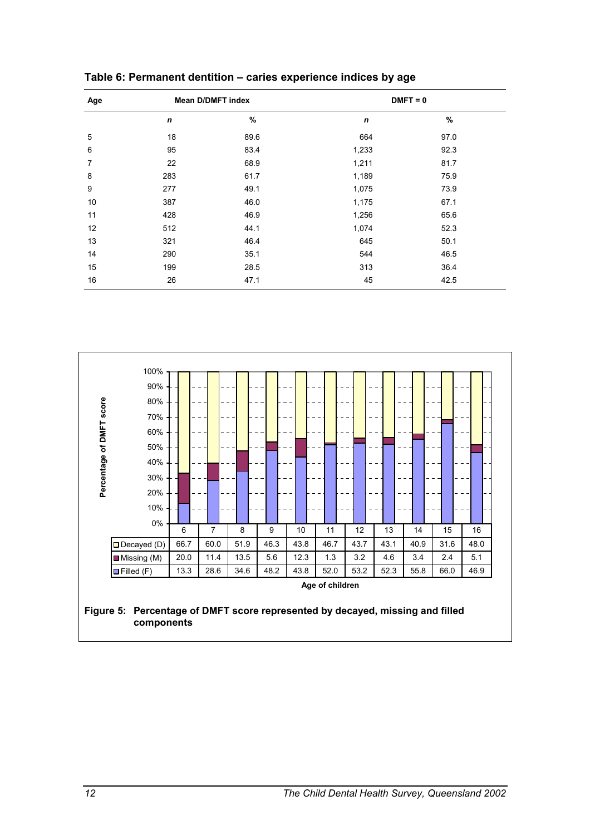| Age |             | <b>Mean D/DMFT index</b> | $DMFT = 0$       |      |  |  |
|-----|-------------|--------------------------|------------------|------|--|--|
|     | $\mathbf n$ | $\%$                     | $\boldsymbol{n}$ | $\%$ |  |  |
| 5   | 18          | 89.6                     | 664              | 97.0 |  |  |
| 6   | 95          | 83.4                     | 1,233            | 92.3 |  |  |
| 7   | 22          | 68.9                     | 1,211            | 81.7 |  |  |
| 8   | 283         | 61.7                     | 1,189            | 75.9 |  |  |
| 9   | 277         | 49.1                     | 1,075            | 73.9 |  |  |
| 10  | 387         | 46.0                     | 1,175            | 67.1 |  |  |
| 11  | 428         | 46.9                     | 1,256            | 65.6 |  |  |
| 12  | 512         | 44.1                     | 1,074            | 52.3 |  |  |
| 13  | 321         | 46.4                     | 645              | 50.1 |  |  |
| 14  | 290         | 35.1                     | 544              | 46.5 |  |  |
| 15  | 199         | 28.5                     | 313              | 36.4 |  |  |
| 16  | 26          | 47.1                     | 45               | 42.5 |  |  |



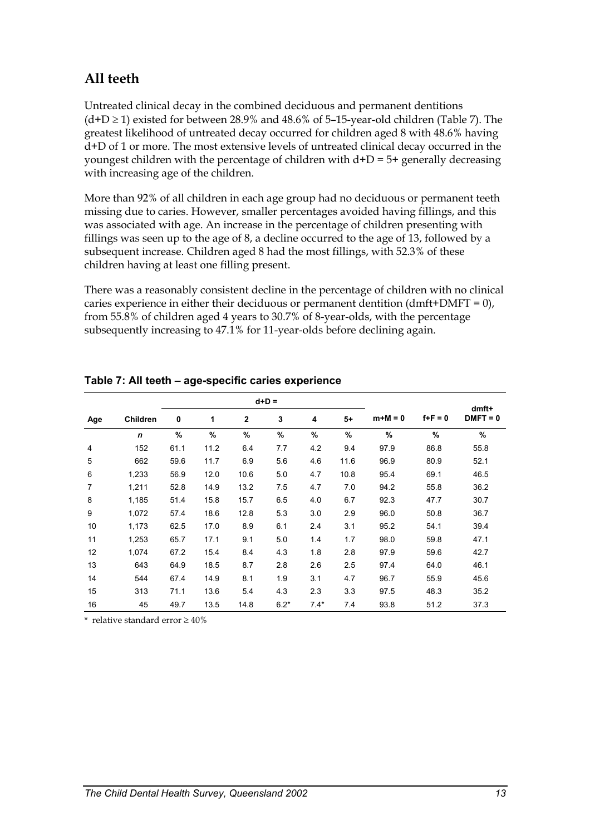### **All teeth**

Untreated clinical decay in the combined deciduous and permanent dentitions  $(d+D \ge 1)$  existed for between 28.9% and 48.6% of 5–15-year-old children (Table 7). The greatest likelihood of untreated decay occurred for children aged 8 with 48.6% having d+D of 1 or more. The most extensive levels of untreated clinical decay occurred in the youngest children with the percentage of children with d+D = 5+ generally decreasing with increasing age of the children.

More than 92% of all children in each age group had no deciduous or permanent teeth missing due to caries. However, smaller percentages avoided having fillings, and this was associated with age. An increase in the percentage of children presenting with fillings was seen up to the age of 8, a decline occurred to the age of 13, followed by a subsequent increase. Children aged 8 had the most fillings, with 52.3% of these children having at least one filling present.

There was a reasonably consistent decline in the percentage of children with no clinical caries experience in either their deciduous or permanent dentition (dmft+DMFT = 0), from 55.8% of children aged 4 years to 30.7% of 8-year-olds, with the percentage subsequently increasing to 47.1% for 11-year-olds before declining again.

|     |                 | $d+D =$ |      |              |        |        |      |           |             | dmft+      |
|-----|-----------------|---------|------|--------------|--------|--------|------|-----------|-------------|------------|
| Age | <b>Children</b> | 0       | 1    | $\mathbf{2}$ | 3      | 4      | $5+$ | $m+M = 0$ | $f + F = 0$ | $DMFT = 0$ |
|     | $\mathbf n$     | $\%$    | %    | $\%$         | $\%$   | %      | %    | %         | $\%$        | $\%$       |
| 4   | 152             | 61.1    | 11.2 | 6.4          | 7.7    | 4.2    | 9.4  | 97.9      | 86.8        | 55.8       |
| 5   | 662             | 59.6    | 11.7 | 6.9          | 5.6    | 4.6    | 11.6 | 96.9      | 80.9        | 52.1       |
| 6   | 1,233           | 56.9    | 12.0 | 10.6         | 5.0    | 4.7    | 10.8 | 95.4      | 69.1        | 46.5       |
| 7   | 1,211           | 52.8    | 14.9 | 13.2         | 7.5    | 4.7    | 7.0  | 94.2      | 55.8        | 36.2       |
| 8   | 1,185           | 51.4    | 15.8 | 15.7         | 6.5    | 4.0    | 6.7  | 92.3      | 47.7        | 30.7       |
| 9   | 1,072           | 57.4    | 18.6 | 12.8         | 5.3    | 3.0    | 2.9  | 96.0      | 50.8        | 36.7       |
| 10  | 1,173           | 62.5    | 17.0 | 8.9          | 6.1    | 2.4    | 3.1  | 95.2      | 54.1        | 39.4       |
| 11  | 1,253           | 65.7    | 17.1 | 9.1          | 5.0    | 1.4    | 1.7  | 98.0      | 59.8        | 47.1       |
| 12  | 1,074           | 67.2    | 15.4 | 8.4          | 4.3    | 1.8    | 2.8  | 97.9      | 59.6        | 42.7       |
| 13  | 643             | 64.9    | 18.5 | 8.7          | 2.8    | 2.6    | 2.5  | 97.4      | 64.0        | 46.1       |
| 14  | 544             | 67.4    | 14.9 | 8.1          | 1.9    | 3.1    | 4.7  | 96.7      | 55.9        | 45.6       |
| 15  | 313             | 71.1    | 13.6 | 5.4          | 4.3    | 2.3    | 3.3  | 97.5      | 48.3        | 35.2       |
| 16  | 45              | 49.7    | 13.5 | 14.8         | $6.2*$ | $7.4*$ | 7.4  | 93.8      | 51.2        | 37.3       |

**Table 7: All teeth – age-specific caries experience** 

\* relative standard error ≥ 40%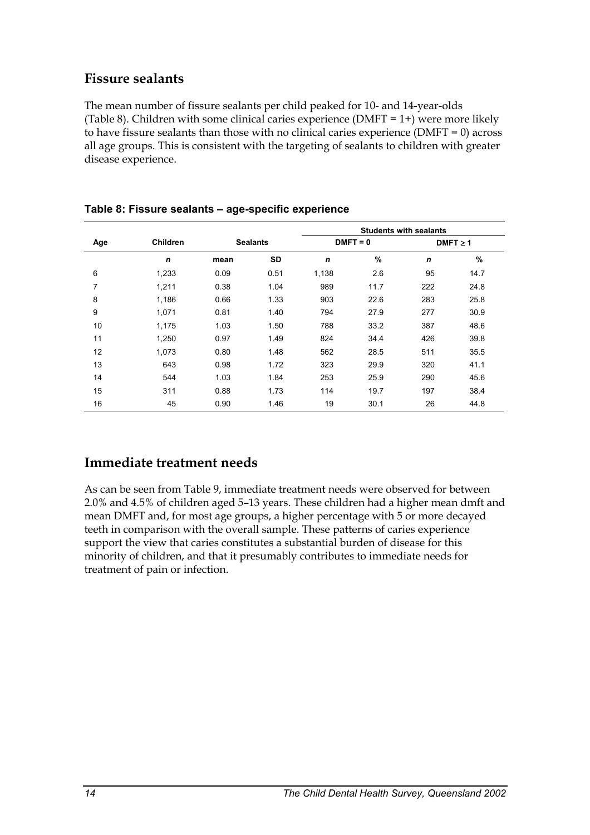#### **Fissure sealants**

The mean number of fissure sealants per child peaked for 10- and 14-year-olds (Table 8). Children with some clinical caries experience (DMFT = 1+) were more likely to have fissure sealants than those with no clinical caries experience ( $DMFT = 0$ ) across all age groups. This is consistent with the targeting of sealants to children with greater disease experience.

|     |                 |      |                 | <b>Students with sealants</b> |            |             |               |  |
|-----|-----------------|------|-----------------|-------------------------------|------------|-------------|---------------|--|
| Age | <b>Children</b> |      | <b>Sealants</b> |                               | $DMFT = 0$ |             | $DMFT \geq 1$ |  |
|     | $\mathbf n$     | mean | SD              | $\mathbf n$                   | $\%$       | $\mathbf n$ | %             |  |
| 6   | 1,233           | 0.09 | 0.51            | 1,138                         | 2.6        | 95          | 14.7          |  |
| 7   | 1,211           | 0.38 | 1.04            | 989                           | 11.7       | 222         | 24.8          |  |
| 8   | 1,186           | 0.66 | 1.33            | 903                           | 22.6       | 283         | 25.8          |  |
| 9   | 1,071           | 0.81 | 1.40            | 794                           | 27.9       | 277         | 30.9          |  |
| 10  | 1,175           | 1.03 | 1.50            | 788                           | 33.2       | 387         | 48.6          |  |
| 11  | 1,250           | 0.97 | 1.49            | 824                           | 34.4       | 426         | 39.8          |  |
| 12  | 1,073           | 0.80 | 1.48            | 562                           | 28.5       | 511         | 35.5          |  |
| 13  | 643             | 0.98 | 1.72            | 323                           | 29.9       | 320         | 41.1          |  |
| 14  | 544             | 1.03 | 1.84            | 253                           | 25.9       | 290         | 45.6          |  |
| 15  | 311             | 0.88 | 1.73            | 114                           | 19.7       | 197         | 38.4          |  |
| 16  | 45              | 0.90 | 1.46            | 19                            | 30.1       | 26          | 44.8          |  |

#### **Table 8: Fissure sealants – age-specific experience**

#### **Immediate treatment needs**

As can be seen from Table 9, immediate treatment needs were observed for between 2.0% and 4.5% of children aged 5–13 years. These children had a higher mean dmft and mean DMFT and, for most age groups, a higher percentage with 5 or more decayed teeth in comparison with the overall sample. These patterns of caries experience support the view that caries constitutes a substantial burden of disease for this minority of children, and that it presumably contributes to immediate needs for treatment of pain or infection.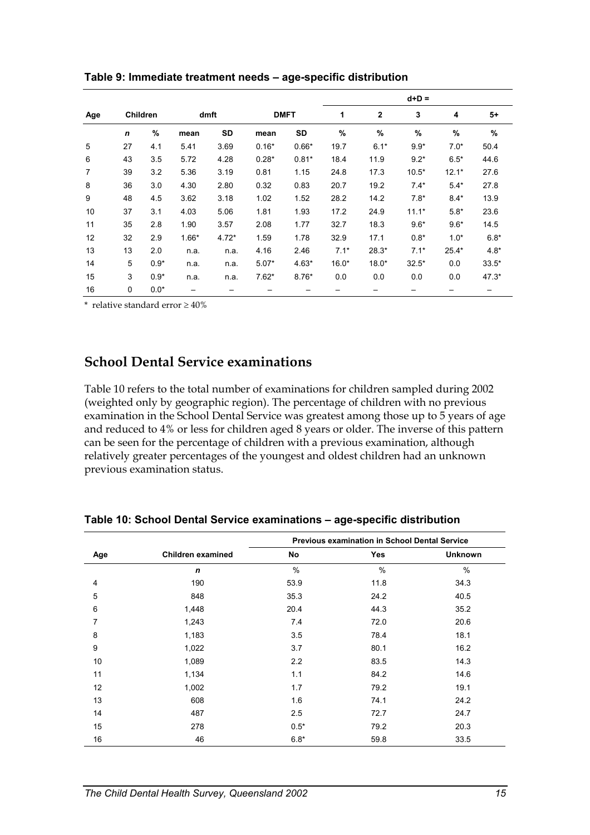|     |              |          |         |         |         |             |         |              | $d+D =$ |         |         |
|-----|--------------|----------|---------|---------|---------|-------------|---------|--------------|---------|---------|---------|
| Age |              | Children | dmft    |         |         | <b>DMFT</b> | 1       | $\mathbf{2}$ | 3       | 4       | 5+      |
|     | $\mathsf{n}$ | %        | mean    | SD      | mean    | SD          | $\%$    | %            | %       | %       | %       |
| 5   | 27           | 4.1      | 5.41    | 3.69    | $0.16*$ | $0.66*$     | 19.7    | $6.1*$       | $9.9*$  | $7.0*$  | 50.4    |
| 6   | 43           | 3.5      | 5.72    | 4.28    | $0.28*$ | $0.81*$     | 18.4    | 11.9         | $9.2*$  | $6.5*$  | 44.6    |
| 7   | 39           | 3.2      | 5.36    | 3.19    | 0.81    | 1.15        | 24.8    | 17.3         | $10.5*$ | $12.1*$ | 27.6    |
| 8   | 36           | 3.0      | 4.30    | 2.80    | 0.32    | 0.83        | 20.7    | 19.2         | $7.4*$  | $5.4*$  | 27.8    |
| 9   | 48           | 4.5      | 3.62    | 3.18    | 1.02    | 1.52        | 28.2    | 14.2         | $7.8*$  | $8.4*$  | 13.9    |
| 10  | 37           | 3.1      | 4.03    | 5.06    | 1.81    | 1.93        | 17.2    | 24.9         | $11.1*$ | $5.8*$  | 23.6    |
| 11  | 35           | 2.8      | 1.90    | 3.57    | 2.08    | 1.77        | 32.7    | 18.3         | $9.6*$  | $9.6*$  | 14.5    |
| 12  | 32           | 2.9      | $1.66*$ | $4.72*$ | 1.59    | 1.78        | 32.9    | 17.1         | $0.8*$  | $1.0*$  | $6.8*$  |
| 13  | 13           | 2.0      | n.a.    | n.a.    | 4.16    | 2.46        | $7.1*$  | $28.3*$      | $7.1*$  | $25.4*$ | $4.8*$  |
| 14  | 5            | $0.9*$   | n.a.    | n.a.    | $5.07*$ | $4.63*$     | $16.0*$ | $18.0*$      | $32.5*$ | 0.0     | $33.5*$ |
| 15  | 3            | $0.9*$   | n.a.    | n.a.    | $7.62*$ | $8.76*$     | 0.0     | 0.0          | 0.0     | 0.0     | $47.3*$ |
| 16  | 0            | $0.0*$   |         |         |         |             |         |              | —       |         |         |

**Table 9: Immediate treatment needs – age-specific distribution** 

\* relative standard error ≥ 40%

#### **School Dental Service examinations**

Table 10 refers to the total number of examinations for children sampled during 2002 (weighted only by geographic region). The percentage of children with no previous examination in the School Dental Service was greatest among those up to 5 years of age and reduced to 4% or less for children aged 8 years or older. The inverse of this pattern can be seen for the percentage of children with a previous examination, although relatively greater percentages of the youngest and oldest children had an unknown previous examination status.

|             |                   | <b>Previous examination in School Dental Service</b> |               |                |  |  |  |  |
|-------------|-------------------|------------------------------------------------------|---------------|----------------|--|--|--|--|
| Age         | Children examined | No                                                   | <b>Yes</b>    | <b>Unknown</b> |  |  |  |  |
|             | $\mathbf n$       | $\%$                                                 | $\frac{0}{0}$ | $\%$           |  |  |  |  |
| 4           | 190               | 53.9                                                 | 11.8          | 34.3           |  |  |  |  |
| $\,$ 5 $\,$ | 848               | 35.3                                                 | 24.2          | 40.5           |  |  |  |  |
| 6           | 1,448             | 20.4                                                 | 44.3          | 35.2           |  |  |  |  |
| 7           | 1,243             | 7.4                                                  | 72.0          | 20.6           |  |  |  |  |
| 8           | 1,183             | 3.5                                                  | 78.4          | 18.1           |  |  |  |  |
| 9           | 1,022             | 3.7                                                  | 80.1          | 16.2           |  |  |  |  |
| 10          | 1,089             | 2.2                                                  | 83.5          | 14.3           |  |  |  |  |
| 11          | 1,134             | 1.1                                                  | 84.2          | 14.6           |  |  |  |  |
| 12          | 1,002             | 1.7                                                  | 79.2          | 19.1           |  |  |  |  |
| 13          | 608               | 1.6                                                  | 74.1          | 24.2           |  |  |  |  |
| 14          | 487               | 2.5                                                  | 72.7          | 24.7           |  |  |  |  |
| 15          | 278               | $0.5*$                                               | 79.2          | 20.3           |  |  |  |  |
| 16          | 46                | $6.8*$                                               | 59.8          | 33.5           |  |  |  |  |

**Table 10: School Dental Service examinations – age-specific distribution**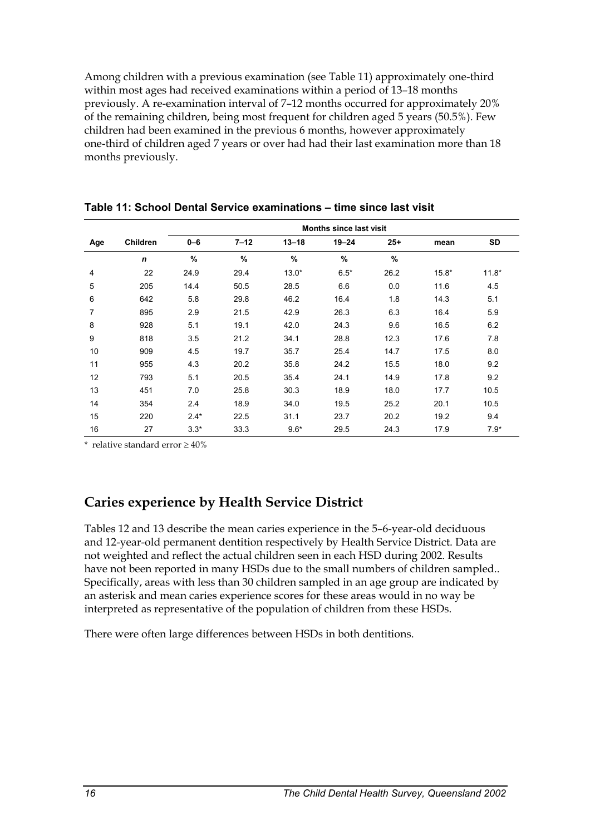Among children with a previous examination (see Table 11) approximately one-third within most ages had received examinations within a period of 13–18 months previously. A re-examination interval of 7–12 months occurred for approximately 20% of the remaining children, being most frequent for children aged 5 years (50.5%). Few children had been examined in the previous 6 months, however approximately one-third of children aged 7 years or over had had their last examination more than 18 months previously.

|     |                  | Months since last visit |          |           |           |        |         |         |  |  |
|-----|------------------|-------------------------|----------|-----------|-----------|--------|---------|---------|--|--|
| Age | Children         | $0 - 6$                 | $7 - 12$ | $13 - 18$ | $19 - 24$ | $25 +$ | mean    | SD      |  |  |
|     | $\boldsymbol{n}$ | %                       | %        | %         | %         | $\%$   |         |         |  |  |
| 4   | 22               | 24.9                    | 29.4     | $13.0*$   | $6.5*$    | 26.2   | $15.8*$ | $11.8*$ |  |  |
| 5   | 205              | 14.4                    | 50.5     | 28.5      | 6.6       | 0.0    | 11.6    | 4.5     |  |  |
| 6   | 642              | 5.8                     | 29.8     | 46.2      | 16.4      | 1.8    | 14.3    | 5.1     |  |  |
| 7   | 895              | 2.9                     | 21.5     | 42.9      | 26.3      | 6.3    | 16.4    | 5.9     |  |  |
| 8   | 928              | 5.1                     | 19.1     | 42.0      | 24.3      | 9.6    | 16.5    | 6.2     |  |  |
| 9   | 818              | 3.5                     | 21.2     | 34.1      | 28.8      | 12.3   | 17.6    | 7.8     |  |  |
| 10  | 909              | 4.5                     | 19.7     | 35.7      | 25.4      | 14.7   | 17.5    | 8.0     |  |  |
| 11  | 955              | 4.3                     | 20.2     | 35.8      | 24.2      | 15.5   | 18.0    | 9.2     |  |  |
| 12  | 793              | 5.1                     | 20.5     | 35.4      | 24.1      | 14.9   | 17.8    | 9.2     |  |  |
| 13  | 451              | 7.0                     | 25.8     | 30.3      | 18.9      | 18.0   | 17.7    | 10.5    |  |  |
| 14  | 354              | 2.4                     | 18.9     | 34.0      | 19.5      | 25.2   | 20.1    | 10.5    |  |  |
| 15  | 220              | $2.4*$                  | 22.5     | 31.1      | 23.7      | 20.2   | 19.2    | 9.4     |  |  |
| 16  | 27               | $3.3*$                  | 33.3     | $9.6*$    | 29.5      | 24.3   | 17.9    | $7.9*$  |  |  |

**Table 11: School Dental Service examinations – time since last visit** 

\* relative standard error ≥ 40%

### **Caries experience by Health Service District**

Tables 12 and 13 describe the mean caries experience in the 5–6-year-old deciduous and 12-year-old permanent dentition respectively by Health Service District. Data are not weighted and reflect the actual children seen in each HSD during 2002. Results have not been reported in many HSDs due to the small numbers of children sampled.. Specifically, areas with less than 30 children sampled in an age group are indicated by an asterisk and mean caries experience scores for these areas would in no way be interpreted as representative of the population of children from these HSDs.

There were often large differences between HSDs in both dentitions.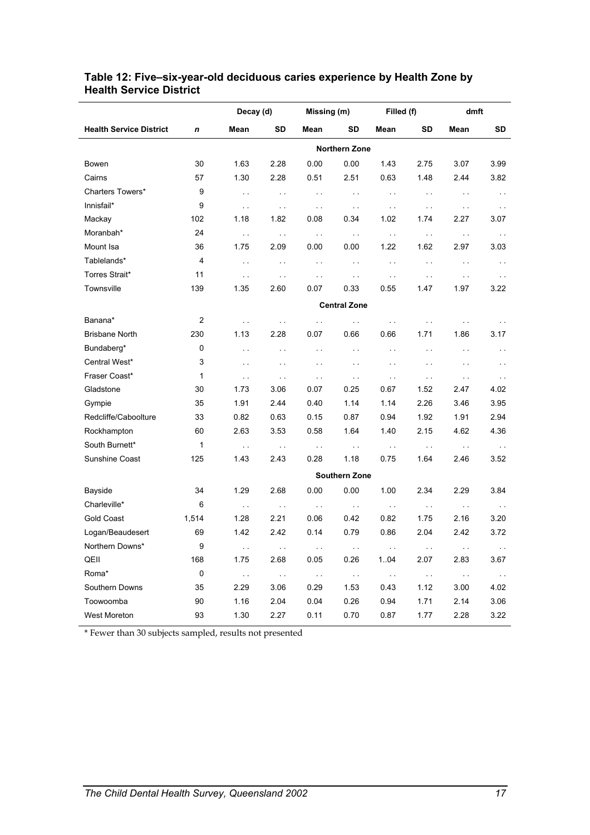|                                |           | Decay (d)              | Missing (m)            |               |                      | Filled (f)    |               | dmft          |               |
|--------------------------------|-----------|------------------------|------------------------|---------------|----------------------|---------------|---------------|---------------|---------------|
| <b>Health Service District</b> | n         | Mean                   | SD                     | Mean          | <b>SD</b>            | Mean          | SD            | Mean          | SD            |
|                                |           |                        |                        |               | <b>Northern Zone</b> |               |               |               |               |
| Bowen                          | 30        | 1.63                   | 2.28                   | 0.00          | 0.00                 | 1.43          | 2.75          | 3.07          | 3.99          |
| Cairns                         | 57        | 1.30                   | 2.28                   | 0.51          | 2.51                 | 0.63          | 1.48          | 2.44          | 3.82          |
| Charters Towers*               | 9         | $\sim$ $\sim$          | $\sim$                 | $\sim$        | $\sim$ $\sim$        | $\sim$ $\sim$ | $\sim$        | $\sim$ $\sim$ | $\sim$ $\sim$ |
| Innisfail*                     | 9         | $\sim$ $\sim$          | $\sim$ $\sim$          | $\sim$ $\sim$ | $\sim$ $\sim$        | $\sim$        | $\sim$ $\sim$ | $\sim$ $\sim$ | $\sim$        |
| Mackay                         | 102       | 1.18                   | 1.82                   | 0.08          | 0.34                 | 1.02          | 1.74          | 2.27          | 3.07          |
| Moranbah*                      | 24        | $\sim$ $\sim$          | $\ddot{\phantom{a}}$ . | $\sim$        | $\sim$ $\sim$        | $\sim$ $\sim$ | $\sim$        | $\sim$ $\sim$ | $\sim$ $\sim$ |
| Mount Isa                      | 36        | 1.75                   | 2.09                   | 0.00          | 0.00                 | 1.22          | 1.62          | 2.97          | 3.03          |
| Tablelands*                    | 4         | $\sim$                 | $\sim$ .               | $\sim$ $\sim$ | $\bar{z}$ .          | $\sim$        | $\sim$        | $\sim$ $\sim$ | $\sim$ $\sim$ |
| Torres Strait*                 | 11        | $\sim$                 | $\sim$                 | $\sim$ $\sim$ | $\sim$ $\sim$        | $\sim$ $\sim$ | $\sim$        | $\sim$ $\sim$ | $\sim$ $\sim$ |
| Townsville                     | 139       | 1.35                   | 2.60                   | 0.07          | 0.33                 | 0.55          | 1.47          | 1.97          | 3.22          |
|                                |           |                        |                        |               | <b>Central Zone</b>  |               |               |               |               |
| Banana*                        | 2         | $\sim$ $\sim$          | $\sim$ $\sim$          | $\sim$        | $\sim$ .             | $\sim$ $\sim$ | $\sim$        | $\sim$ $\sim$ | $\sim$ $\sim$ |
| <b>Brisbane North</b>          | 230       | 1.13                   | 2.28                   | 0.07          | 0.66                 | 0.66          | 1.71          | 1.86          | 3.17          |
| Bundaberg*                     | 0         | $\sim$                 | $\sim$                 | $\sim$ $\sim$ | $\sim$ $\sim$        | $\sim$ $\sim$ | $\sim$        | $\sim$ $\sim$ | $\sim$ $\sim$ |
| Central West*                  | 3         | $\sim$                 | $\sim$ $\sim$          | $\sim$ $\sim$ | $\sim$ $\sim$        | $\sim$        | $\sim$ $\sim$ | $\sim$ $\sim$ | $\sim$        |
| Fraser Coast*                  | 1         | $\ddot{\phantom{1}}$ . | $\sim$ .               | $\sim$        | $\sim$               | $\sim$ $\sim$ | $\sim$        | $\sim$ $\sim$ | $\sim$ $\sim$ |
| Gladstone                      | 30        | 1.73                   | 3.06                   | 0.07          | 0.25                 | 0.67          | 1.52          | 2.47          | 4.02          |
| Gympie                         | 35        | 1.91                   | 2.44                   | 0.40          | 1.14                 | 1.14          | 2.26          | 3.46          | 3.95          |
| Redcliffe/Caboolture           | 33        | 0.82                   | 0.63                   | 0.15          | 0.87                 | 0.94          | 1.92          | 1.91          | 2.94          |
| Rockhampton                    | 60        | 2.63                   | 3.53                   | 0.58          | 1.64                 | 1.40          | 2.15          | 4.62          | 4.36          |
| South Burnett*                 | 1         | $\sim$ $\sim$          | $\sim$                 | $\sim$ $\sim$ | $\sim$ $\sim$        | $\sim$ $\sim$ | $\sim$        | $\sim$ $\sim$ | $\sim$        |
| Sunshine Coast                 | 125       | 1.43                   | 2.43                   | 0.28          | 1.18                 | 0.75          | 1.64          | 2.46          | 3.52          |
|                                |           |                        |                        |               | <b>Southern Zone</b> |               |               |               |               |
| Bayside                        | 34        | 1.29                   | 2.68                   | 0.00          | 0.00                 | 1.00          | 2.34          | 2.29          | 3.84          |
| Charleville*                   | 6         | $\sim$ $\sim$          | $\sim$                 | $\sim$ $\sim$ | $\sim$ $\sim$        | $\sim$        | $\sim$        | $\sim$ $\sim$ | $\sim$ $\sim$ |
| <b>Gold Coast</b>              | 1,514     | 1.28                   | 2.21                   | 0.06          | 0.42                 | 0.82          | 1.75          | 2.16          | 3.20          |
| Logan/Beaudesert               | 69        | 1.42                   | 2.42                   | 0.14          | 0.79                 | 0.86          | 2.04          | 2.42          | 3.72          |
| Northern Downs*                | 9         | $\sim$                 | $\sim$ $\sim$          | $\sim$        | $\sim$ $\sim$        | $\sim$        | $\sim$        | $\sim$        | $\sim$ $\sim$ |
| QEII                           | 168       | 1.75                   | 2.68                   | 0.05          | 0.26                 | 1.04          | 2.07          | 2.83          | 3.67          |
| Roma*                          | $\pmb{0}$ | $\sim$ $\sim$          | $\sim 100$             | $\sim$ $\sim$ | $\sim$ $\sim$        | $\sim$ $\sim$ | $\sim$        | $\sim 100$    | $\sim 100$    |
| Southern Downs                 | 35        | 2.29                   | 3.06                   | 0.29          | 1.53                 | 0.43          | 1.12          | 3.00          | 4.02          |
| Toowoomba                      | 90        | 1.16                   | 2.04                   | 0.04          | 0.26                 | 0.94          | 1.71          | 2.14          | 3.06          |
| West Moreton                   | 93        | 1.30                   | 2.27                   | 0.11          | 0.70                 | 0.87          | 1.77          | 2.28          | 3.22          |

#### **Table 12: Five–six-year-old deciduous caries experience by Health Zone by Health Service District**

\* Fewer than 30 subjects sampled, results not presented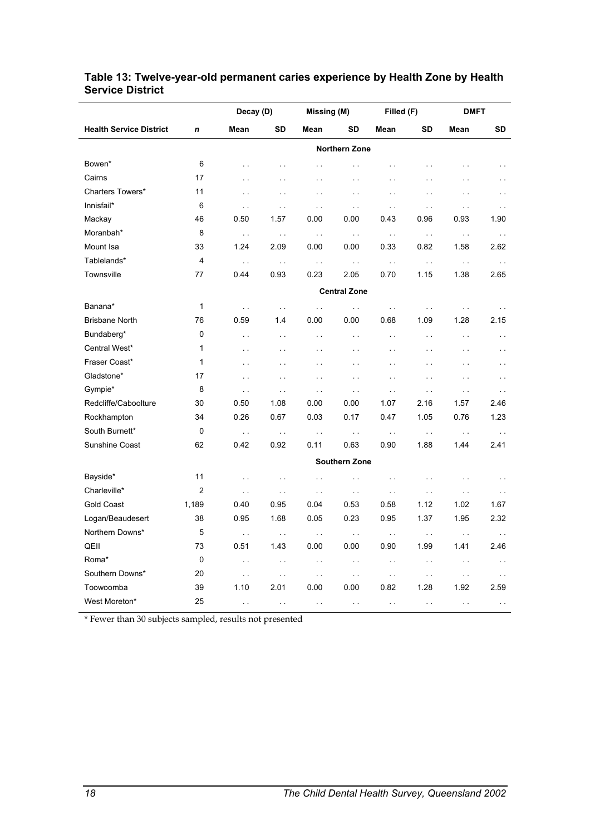|                                |                | Decay (D)              |                               | Missing (M)          |                           | Filled (F)           |                      | <b>DMFT</b>            |               |
|--------------------------------|----------------|------------------------|-------------------------------|----------------------|---------------------------|----------------------|----------------------|------------------------|---------------|
| <b>Health Service District</b> | $\mathbf n$    | Mean                   | <b>SD</b>                     | Mean                 | <b>SD</b>                 | Mean                 | <b>SD</b>            | Mean                   | SD            |
|                                |                |                        |                               |                      | <b>Northern Zone</b>      |                      |                      |                        |               |
| Bowen*                         | 6              | $\ddot{\phantom{1}}$ . | $\ddotsc$                     | $\bar{1}$ .          | $\mathbb{R}^{\mathbb{Z}}$ | $\ddot{\phantom{a}}$ | $\ddot{\phantom{a}}$ | $\ddot{\phantom{1}}$   | $\sim$ $\sim$ |
| Cairns                         | 17             | $\ddot{\phantom{a}}$   | $\ddotsc$                     | $\ddot{\phantom{a}}$ | $\ddotsc$                 | $\ddotsc$            | $\ddot{\phantom{a}}$ | τ.                     | $\bar{z}$ .   |
| Charters Towers*               | 11             | $\sim$ $\sim$          | $\sim$ $\sim$                 | $\sim$ $\sim$        | $\sim$ $\sim$             | $\ddotsc$            | τ.                   | $\ddotsc$              | $\sim$ $\sim$ |
| Innisfail*                     | 6              | $\sim$                 | $\sim$                        | $\sim$ $\sim$        | $\sim$ $\sim$             | $\sim$               | $\sim$ $\sim$        | $\sim$                 | $\sim$ $\sim$ |
| Mackay                         | 46             | 0.50                   | 1.57                          | 0.00                 | 0.00                      | 0.43                 | 0.96                 | 0.93                   | 1.90          |
| Moranbah*                      | 8              | $\sim$ .               | $\sim$ $\sim$                 | $\sim$               | $\sim$ $\sim$             | $\sim$ $\sim$        | $\sim$               | $\sim$ $\sim$          | $\sim$        |
| Mount Isa                      | 33             | 1.24                   | 2.09                          | 0.00                 | 0.00                      | 0.33                 | 0.82                 | 1.58                   | 2.62          |
| Tablelands*                    | $\overline{4}$ | $\sim$ $\sim$          | $\sim$                        | $\sim$ $\sim$        | $\sim$ $\sim$             | $\sim$               | $\sim$ $\sim$        | $\sim$ $\sim$          | $\sim$ $\sim$ |
| Townsville                     | 77             | 0.44                   | 0.93                          | 0.23                 | 2.05                      | 0.70                 | 1.15                 | 1.38                   | 2.65          |
|                                |                |                        |                               |                      | <b>Central Zone</b>       |                      |                      |                        |               |
| Banana*                        | $\mathbf{1}$   | $\sim$ .               | $\sim$                        | $\bar{L}$ .          | $\bar{L}$ .               | $\sim$               | $\sim$               | $\sim$ $\sim$          | $\sim$        |
| <b>Brisbane North</b>          | 76             | 0.59                   | 1.4                           | 0.00                 | 0.00                      | 0.68                 | 1.09                 | 1.28                   | 2.15          |
| Bundaberg*                     | 0              | $\sim$ $\sim$          | $\sim$                        | $\sim$ $\sim$        | $\sim$ $\sim$             | $\sim$ $\sim$        | i.                   | $\ddot{\phantom{1}}$   | $\sim$        |
| Central West*                  | 1              | $\sim$                 | $\sim$                        | $\bar{a}$ .          | $\sim$                    | $\sim$ $\sim$        | i.                   | Ϋ,                     | $\sim$        |
| Fraser Coast*                  | $\mathbf{1}$   | $\sim$                 | $\sim$                        | $\bar{a}$ .          | $\sim$ $\sim$             | $\sim$ $\sim$        | i,                   | $\sim$                 | $\sim$        |
| Gladstone*                     | 17             | $\sim$ $\sim$          | $\bar{\nu}$                   | $\sim$ $\sim$        | $\ddot{\phantom{1}}$ .    | $\sim$               | i,                   | $\ddot{\phantom{1}}$ . | $\sim$        |
| Gympie*                        | 8              | $\ddot{\phantom{a}}$ . | $\mathcal{L}^{\mathcal{L}}$ . | $\sim$ .             | $\sim$ .                  | $\sim$ .             | $\sim$ .             | $\sim$ .               | $\sim$ .      |
| Redcliffe/Caboolture           | 30             | 0.50                   | 1.08                          | 0.00                 | 0.00                      | 1.07                 | 2.16                 | 1.57                   | 2.46          |
| Rockhampton                    | 34             | 0.26                   | 0.67                          | 0.03                 | 0.17                      | 0.47                 | 1.05                 | 0.76                   | 1.23          |
| South Burnett*                 | 0              | $\sim$                 | $\bar{\mathcal{L}}$           | $\sim$               | $\sim$ $\sim$             | $\sim$               | $\sim$ $\sim$        | $\sim$ $\sim$          | $\sim$ $\sim$ |
| Sunshine Coast                 | 62             | 0.42                   | 0.92                          | 0.11                 | 0.63                      | 0.90                 | 1.88                 | 1.44                   | 2.41          |
|                                |                |                        |                               |                      | <b>Southern Zone</b>      |                      |                      |                        |               |
| Bayside*                       | 11             | $\sim$                 | $\sim$ $\sim$                 | $\sim$               | $\sim$ .                  | $\sim$ $\sim$        | $\ddot{\phantom{a}}$ | $\sim$ .               | $\sim$ $\sim$ |
| Charleville*                   | $\overline{2}$ | $\ddot{\phantom{a}}$ . | i.                            | $\sim$ $\sim$        | $\ddot{\phantom{1}}$ .    | $\sim$ .             | $\ddotsc$            | $\ddotsc$              | $\sim$ $\sim$ |
| <b>Gold Coast</b>              | 1,189          | 0.40                   | 0.95                          | 0.04                 | 0.53                      | 0.58                 | 1.12                 | 1.02                   | 1.67          |
| Logan/Beaudesert               | 38             | 0.95                   | 1.68                          | 0.05                 | 0.23                      | 0.95                 | 1.37                 | 1.95                   | 2.32          |
| Northern Downs*                | 5              | $\sim$ $\sim$          | $\sim$ .                      | $\sim$ $\sim$        | $\sim$ .                  | $\sim$ $\sim$        | $\bar{\nu}$ .        | $\sim$ .               | $\sim$ $\sim$ |
| QEII                           | 73             | 0.51                   | 1.43                          | 0.00                 | 0.00                      | 0.90                 | 1.99                 | 1.41                   | 2.46          |
| Roma*                          | $\mathbf 0$    | $\sim$                 | $\sim$ $\sim$                 | $\sim$ $\sim$        | $\sim$                    | $\sim$               | $\sim$ $\sim$        | $\sim$ $\sim$          | $\sim$ $\sim$ |
| Southern Downs*                | 20             | $\ddot{\phantom{a}}$ . | $\sim$ .                      | $\sim$ $\sim$        | $\sim$ $\sim$             | $\sim$               | $\sim$ .             | $\sim$ $\sim$          | $\sim$ $\sim$ |
| Toowoomba                      | 39             | 1.10                   | 2.01                          | 0.00                 | 0.00                      | 0.82                 | 1.28                 | 1.92                   | 2.59          |
| West Moreton*                  | 25             | $\sim$                 | $\sim$                        | $\sim$ $\sim$        | $\sim$ $\sim$             | $\sim$ $\sim$        | $\sim$               | $\sim$ $\sim$          | $\sim$ $\sim$ |

#### **Table 13: Twelve-year-old permanent caries experience by Health Zone by Health Service District**

\* Fewer than 30 subjects sampled, results not presented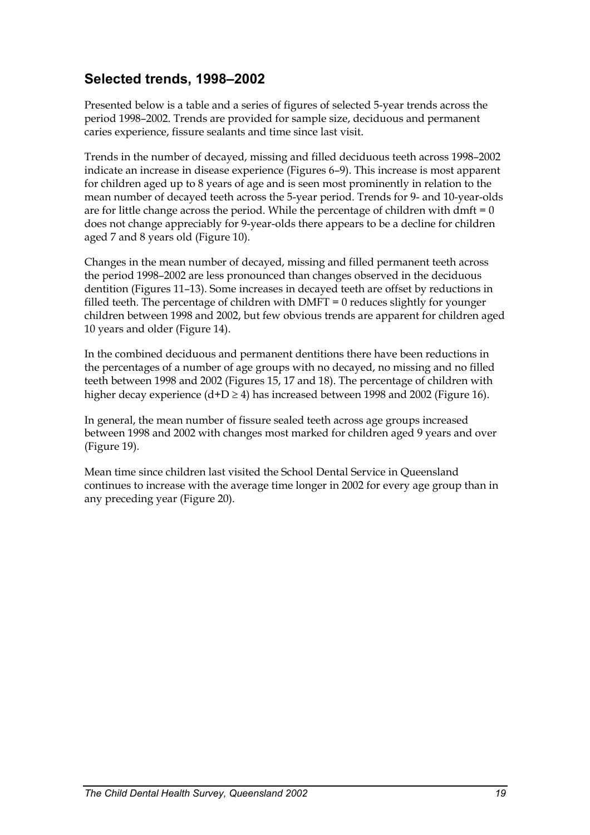## **Selected trends, 1998–2002**

Presented below is a table and a series of figures of selected 5-year trends across the period 1998–2002. Trends are provided for sample size, deciduous and permanent caries experience, fissure sealants and time since last visit.

Trends in the number of decayed, missing and filled deciduous teeth across 1998–2002 indicate an increase in disease experience (Figures 6–9). This increase is most apparent for children aged up to 8 years of age and is seen most prominently in relation to the mean number of decayed teeth across the 5-year period. Trends for 9- and 10-year-olds are for little change across the period. While the percentage of children with dmft =  $0$ does not change appreciably for 9-year-olds there appears to be a decline for children aged 7 and 8 years old (Figure 10).

Changes in the mean number of decayed, missing and filled permanent teeth across the period 1998–2002 are less pronounced than changes observed in the deciduous dentition (Figures 11–13). Some increases in decayed teeth are offset by reductions in filled teeth. The percentage of children with  $DMFT = 0$  reduces slightly for younger children between 1998 and 2002, but few obvious trends are apparent for children aged 10 years and older (Figure 14).

In the combined deciduous and permanent dentitions there have been reductions in the percentages of a number of age groups with no decayed, no missing and no filled teeth between 1998 and 2002 (Figures 15, 17 and 18). The percentage of children with higher decay experience  $(d+D \ge 4)$  has increased between 1998 and 2002 (Figure 16).

In general, the mean number of fissure sealed teeth across age groups increased between 1998 and 2002 with changes most marked for children aged 9 years and over (Figure 19).

Mean time since children last visited the School Dental Service in Queensland continues to increase with the average time longer in 2002 for every age group than in any preceding year (Figure 20).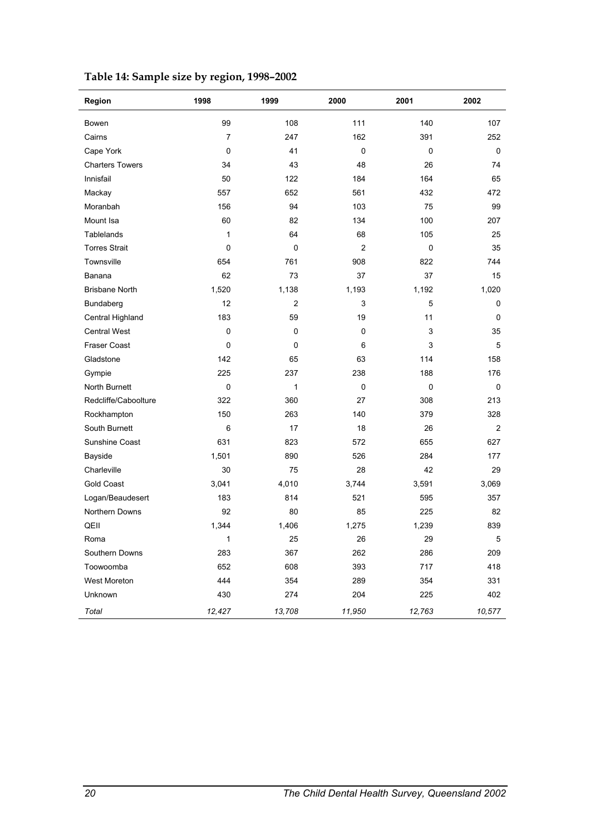| Region                 | 1998         | 1999           | 2000           | 2001      | 2002   |
|------------------------|--------------|----------------|----------------|-----------|--------|
| Bowen                  | 99           | 108            | 111            | 140       | 107    |
| Cairns                 | 7            | 247            | 162            | 391       | 252    |
| Cape York              | $\mathbf 0$  | 41             | 0              | 0         | 0      |
| <b>Charters Towers</b> | 34           | 43             | 48             | 26        | 74     |
| Innisfail              | 50           | 122            | 184            | 164       | 65     |
| Mackay                 | 557          | 652            | 561            | 432       | 472    |
| Moranbah               | 156          | 94             | 103            | 75        | 99     |
| Mount Isa              | 60           | 82             | 134            | 100       | 207    |
| Tablelands             | 1            | 64             | 68             | 105       | 25     |
| <b>Torres Strait</b>   | $\pmb{0}$    | $\mathbf 0$    | $\overline{2}$ | $\pmb{0}$ | 35     |
| Townsville             | 654          | 761            | 908            | 822       | 744    |
| Banana                 | 62           | 73             | 37             | 37        | 15     |
| <b>Brisbane North</b>  | 1,520        | 1,138          | 1,193          | 1,192     | 1,020  |
| Bundaberg              | 12           | $\overline{c}$ | 3              | 5         | 0      |
| Central Highland       | 183          | 59             | 19             | 11        | 0      |
| <b>Central West</b>    | $\pmb{0}$    | 0              | $\pmb{0}$      | 3         | 35     |
| <b>Fraser Coast</b>    | 0            | 0              | 6              | 3         | 5      |
| Gladstone              | 142          | 65             | 63             | 114       | 158    |
| Gympie                 | 225          | 237            | 238            | 188       | 176    |
| North Burnett          | $\mathbf 0$  | 1              | 0              | $\pmb{0}$ | 0      |
| Redcliffe/Caboolture   | 322          | 360            | 27             | 308       | 213    |
| Rockhampton            | 150          | 263            | 140            | 379       | 328    |
| South Burnett          | 6            | 17             | 18             | 26        | 2      |
| Sunshine Coast         | 631          | 823            | 572            | 655       | 627    |
| Bayside                | 1,501        | 890            | 526            | 284       | 177    |
| Charleville            | 30           | 75             | 28             | 42        | 29     |
| <b>Gold Coast</b>      | 3,041        | 4,010          | 3,744          | 3,591     | 3,069  |
| Logan/Beaudesert       | 183          | 814            | 521            | 595       | 357    |
| Northern Downs         | 92           | 80             | 85             | 225       | 82     |
| QEII                   | 1,344        | 1,406          | 1,275          | 1,239     | 839    |
| Roma                   | $\mathbf{1}$ | 25             | 26             | 29        | 5      |
| Southern Downs         | 283          | 367            | 262            | 286       | 209    |
| Toowoomba              | 652          | 608            | 393            | 717       | 418    |
| West Moreton           | 444          | 354            | 289            | 354       | 331    |
| Unknown                | 430          | 274            | 204            | 225       | 402    |
| Total                  | 12,427       | 13,708         | 11,950         | 12,763    | 10,577 |

**Table 14: Sample size by region, 1998–2002**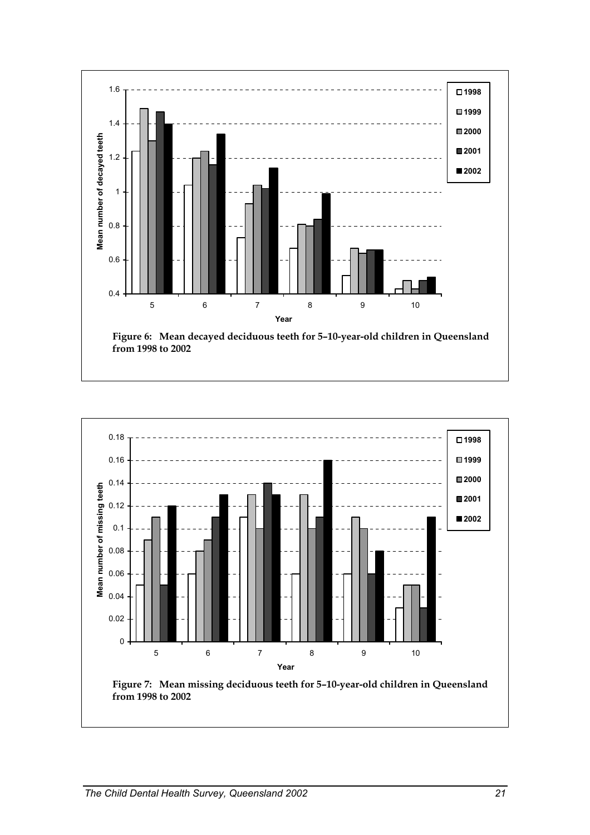

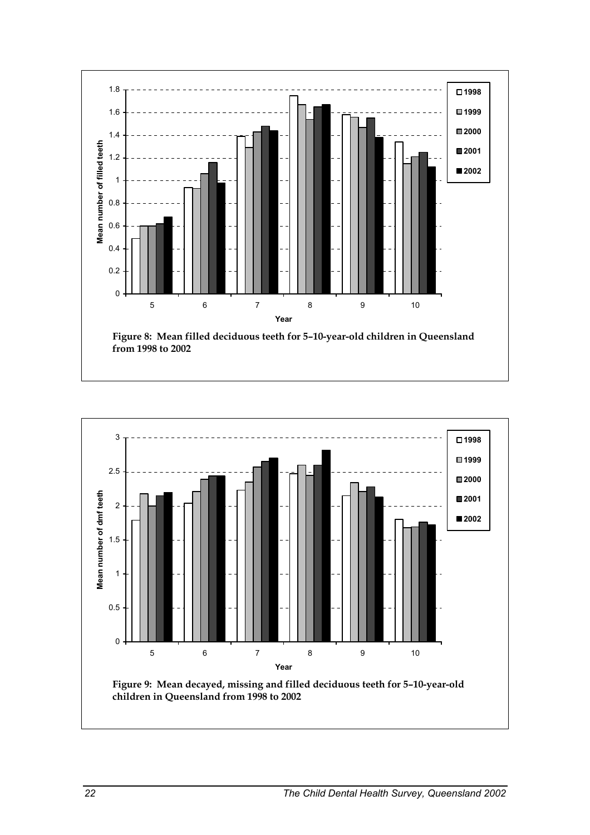

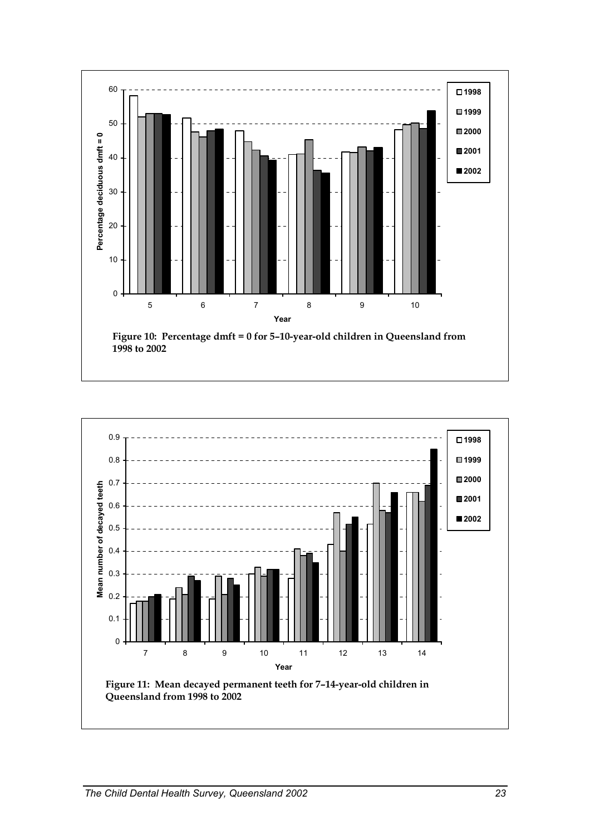

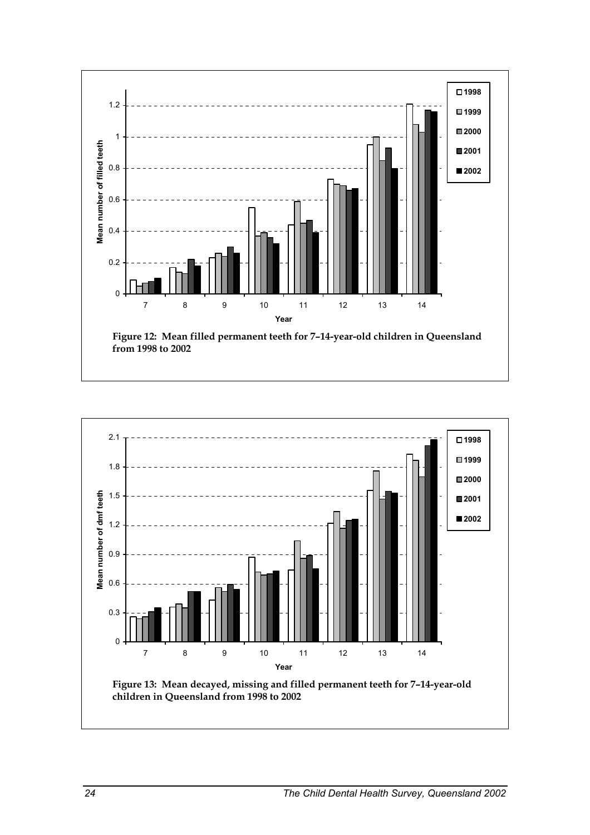

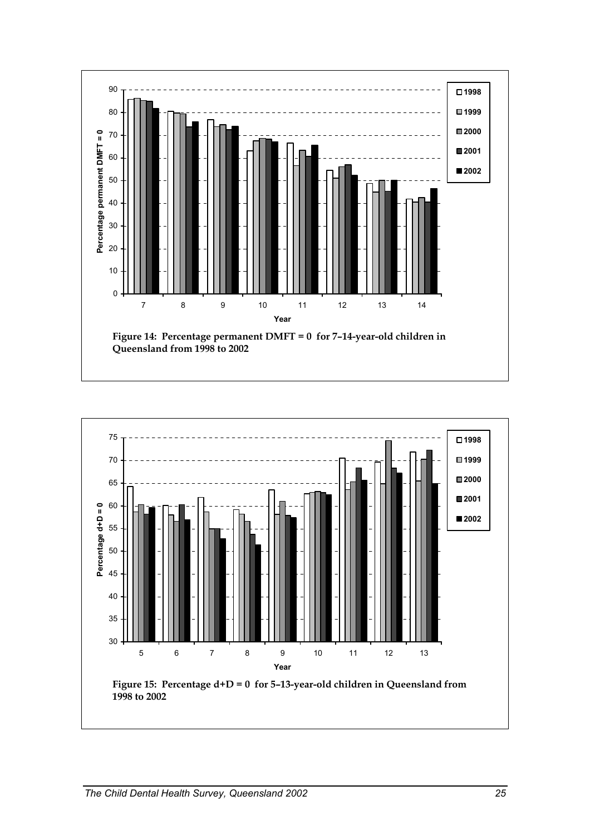

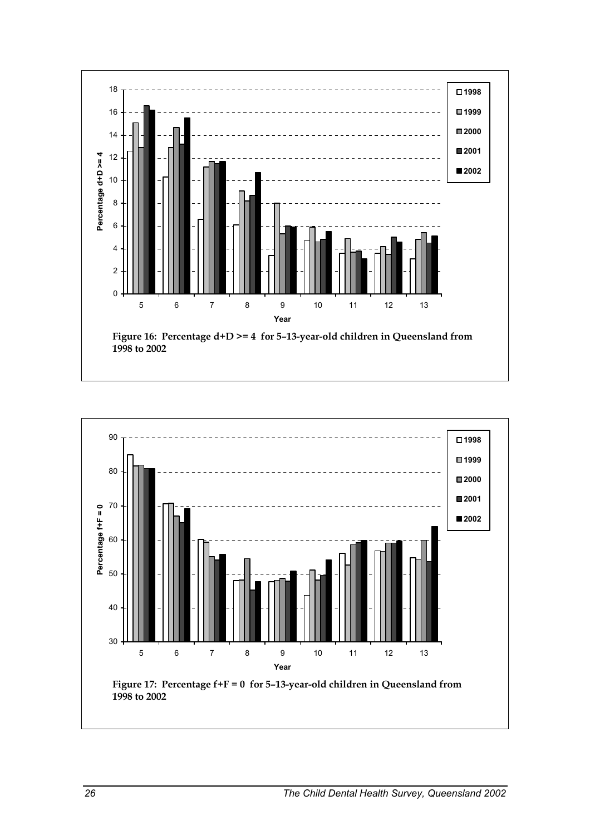

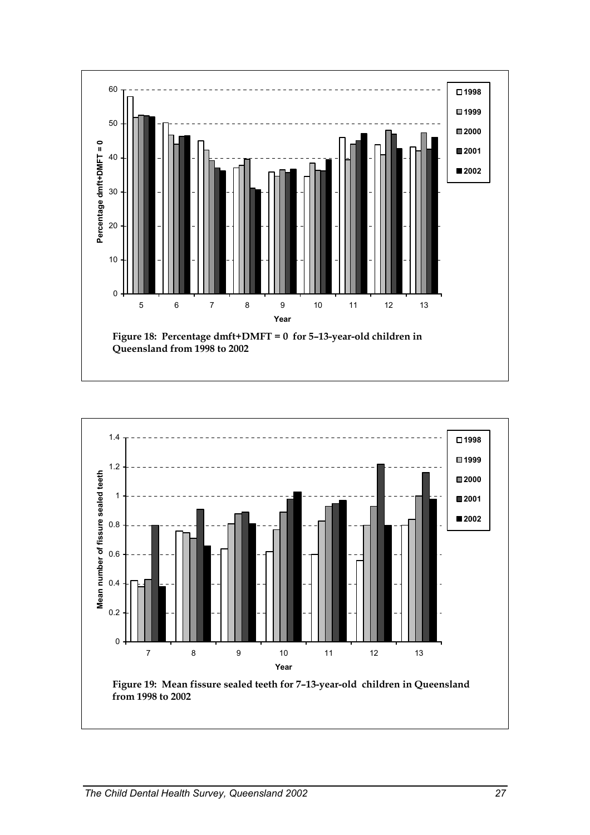